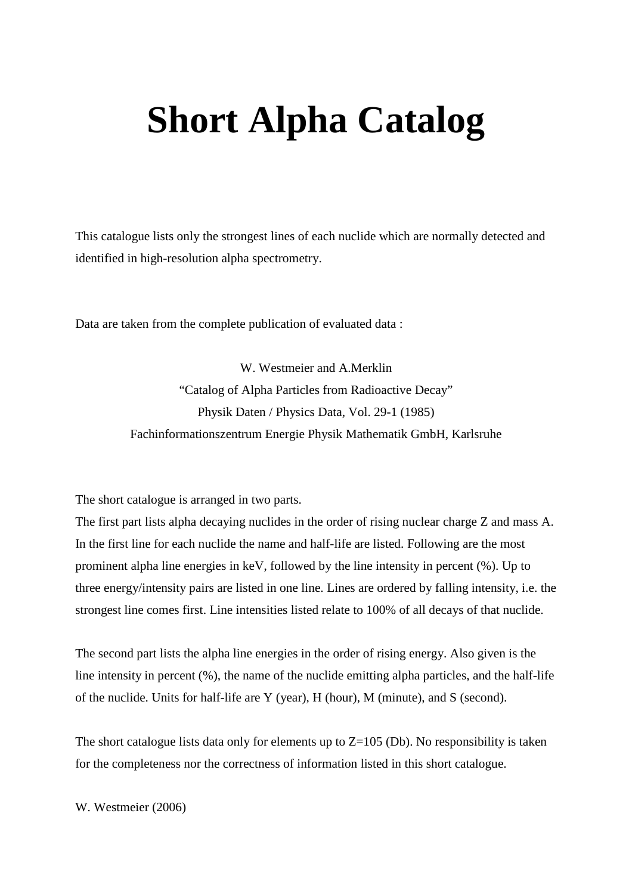## **Short Alpha Catalog**

This catalogue lists only the strongest lines of each nuclide which are normally detected and identified in high-resolution alpha spectrometry.

Data are taken from the complete publication of evaluated data :

W. Westmeier and A.Merklin "Catalog of Alpha Particles from Radioactive Decay" Physik Daten / Physics Data, Vol. 29-1 (1985) Fachinformationszentrum Energie Physik Mathematik GmbH, Karlsruhe

The short catalogue is arranged in two parts.

The first part lists alpha decaying nuclides in the order of rising nuclear charge Z and mass A. In the first line for each nuclide the name and half-life are listed. Following are the most prominent alpha line energies in keV, followed by the line intensity in percent (%). Up to three energy/intensity pairs are listed in one line. Lines are ordered by falling intensity, i.e. the strongest line comes first. Line intensities listed relate to 100% of all decays of that nuclide.

The second part lists the alpha line energies in the order of rising energy. Also given is the line intensity in percent (%), the name of the nuclide emitting alpha particles, and the half-life of the nuclide. Units for half-life are Y (year), H (hour), M (minute), and S (second).

The short catalogue lists data only for elements up to  $Z=105$  (Db). No responsibility is taken for the completeness nor the correctness of information listed in this short catalogue.

W. Westmeier (2006)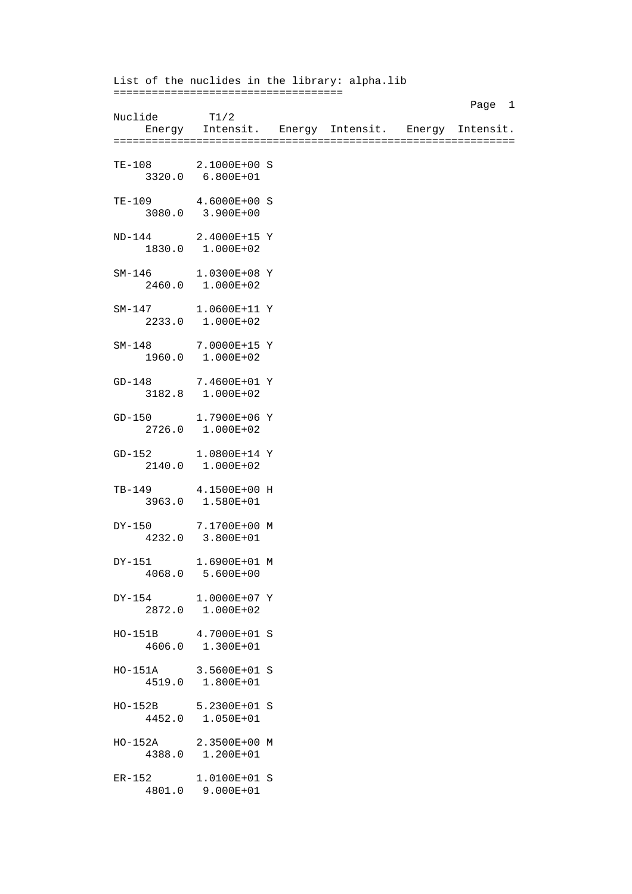List of the nuclides in the library: alpha.lib ==================================== Page 1 Nuclide T1/2 Energy Intensit. Energy Intensit. Energy Intensit. =============================================================== TE-108 2.1000E+00 S 3320.0 6.800E+01 TE-109 4.6000E+00 S 3080.0 3.900E+00 ND-144 2.4000E+15 Y 1830.0 1.000E+02 SM-146 1.0300E+08 Y 2460.0 1.000E+02 SM-147 1.0600E+11 Y 2233.0 1.000E+02 SM-148 7.0000E+15 Y 1960.0 1.000E+02 GD-148 7.4600E+01 Y 3182.8 1.000E+02 GD-150 1.7900E+06 Y  $2726.0$  1.000E+02 GD-152 1.0800E+14 Y 2140.0 1.000E+02 TB-149 4.1500E+00 H 3963.0 1.580E+01 DY-150 7.1700E+00 M 4232.0 3.800E+01 DY-151 1.6900E+01 M 4068.0 5.600E+00 DY-154 1.0000E+07 Y 2872.0 1.000E+02 HO-151B 4.7000E+01 S 4606.0 1.300E+01 HO-151A 3.5600E+01 S 4519.0 1.800E+01 HO-152B 5.2300E+01 S 4452.0 1.050E+01 HO-152A 2.3500E+00 M 4388.0 1.200E+01 ER-152 1.0100E+01 S 4801.0 9.000E+01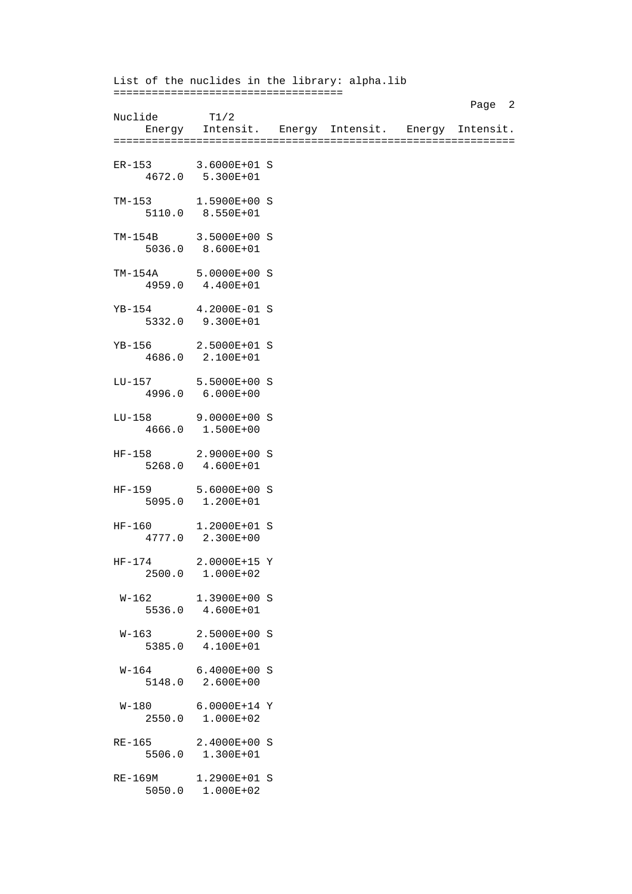List of the nuclides in the library: alpha.lib ==================================== Page 2 Nuclide T1/2 Energy Intensit. Energy Intensit. Energy Intensit. =============================================================== ER-153 3.6000E+01 S 4672.0 5.300E+01 TM-153 1.5900E+00 S 5110.0 8.550E+01 TM-154B 3.5000E+00 S 5036.0 8.600E+01 TM-154A 5.0000E+00 S 4959.0 4.400E+01 YB-154 4.2000E-01 S 5332.0 9.300E+01 YB-156 2.5000E+01 S 4686.0 2.100E+01 LU-157 5.5000E+00 S 4996.0 6.000E+00 LU-158 9.0000E+00 S 4666.0 1.500E+00 HF-158 2.9000E+00 S 5268.0 4.600E+01 HF-159 5.6000E+00 S 5095.0 1.200E+01 HF-160 1.2000E+01 S 4777.0 2.300E+00 HF-174 2.0000E+15 Y 2500.0 1.000E+02 W-162 1.3900E+00 S 5536.0 4.600E+01 W-163 2.5000E+00 S 5385.0 4.100E+01 W-164 6.4000E+00 S 5148.0 2.600E+00 W-180 6.0000E+14 Y 2550.0 1.000E+02 RE-165 2.4000E+00 S 5506.0 1.300E+01 RE-169M 1.2900E+01 S 5050.0 1.000E+02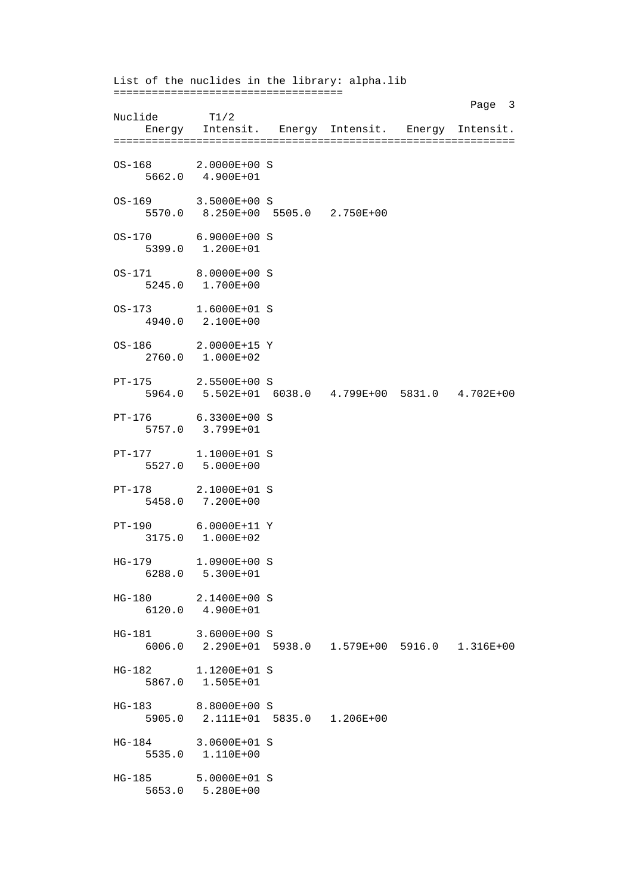List of the nuclides in the library: alpha.lib ==================================== Page 3 and 2012 and 2012 and 2012 and 2012 and 2012 and 2012 and 2012 and 2012 and 2012 and 2012 and 2012 and 2012 and 2012 and 2012 and 2012 and 2012 and 2012 and 2012 and 2012 and 2012 and 2012 and 2012 and 2012 and 2012 Nuclide T1/2 Energy Intensit. Energy Intensit. Energy Intensit. =============================================================== OS-168 2.0000E+00 S 5662.0 4.900E+01 OS-169 3.5000E+00 S 5570.0 8.250E+00 5505.0 2.750E+00 OS-170 6.9000E+00 S 5399.0 1.200E+01 OS-171 8.0000E+00 S 5245.0 1.700E+00 OS-173 1.6000E+01 S 4940.0 2.100E+00 OS-186 2.0000E+15 Y 2760.0 1.000E+02 PT-175 2.5500E+00 S 5964.0 5.502E+01 6038.0 4.799E+00 5831.0 4.702E+00 PT-176 6.3300E+00 S 5757.0 3.799E+01 PT-177 1.1000E+01 S 5527.0 5.000E+00 PT-178 2.1000E+01 S 5458.0 7.200E+00 PT-190 6.0000E+11 Y 3175.0 1.000E+02 HG-179 1.0900E+00 S 6288.0 5.300E+01 HG-180 2.1400E+00 S 6120.0 4.900E+01 HG-181 3.6000E+00 S 6006.0 2.290E+01 5938.0 1.579E+00 5916.0 1.316E+00 HG-182 1.1200E+01 S 5867.0 1.505E+01 HG-183 8.8000E+00 S 5905.0 2.111E+01 5835.0 1.206E+00 HG-184 3.0600E+01 S 5535.0 1.110E+00 HG-185 5.0000E+01 S 5653.0 5.280E+00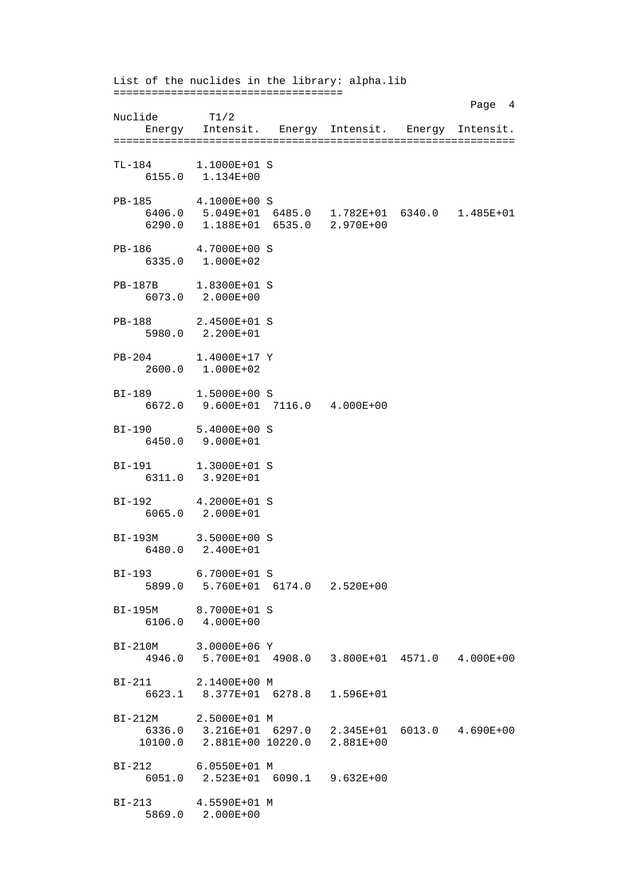List of the nuclides in the library: alpha.lib ==================================== Page 4 Nuclide T1/2 Energy Intensit. Energy Intensit. Energy Intensit. =============================================================== TL-184 1.1000E+01 S 6155.0 1.134E+00 PB-185 4.1000E+00 S 6406.0 5.049E+01 6485.0 1.782E+01 6340.0 1.485E+01 6290.0 1.188E+01 6535.0 2.970E+00 PB-186 4.7000E+00 S 6335.0 1.000E+02 PB-187B 1.8300E+01 S 6073.0 2.000E+00 PB-188 2.4500E+01 S 5980.0 2.200E+01 PB-204 1.4000E+17 Y 2600.0 1.000E+02 BI-189 1.5000E+00 S 6672.0 9.600E+01 7116.0 4.000E+00 BI-190 5.4000E+00 S 6450.0 9.000E+01 BI-191 1.3000E+01 S 6311.0 3.920E+01 BI-192 4.2000E+01 S 6065.0 2.000E+01 BI-193M 3.5000E+00 S 6480.0 2.400E+01 BI-193 6.7000E+01 S 5899.0 5.760E+01 6174.0 2.520E+00 BI-195M 8.7000E+01 S 6106.0 4.000E+00 BI-210M 3.0000E+06 Y 4946.0 5.700E+01 4908.0 3.800E+01 4571.0 4.000E+00 BI-211 2.1400E+00 M 6623.1 8.377E+01 6278.8 1.596E+01 BI-212M 2.5000E+01 M 6336.0 3.216E+01 6297.0 2.345E+01 6013.0 4.690E+00 10100.0 2.881E+00 10220.0 2.881E+00 BI-212 6.0550E+01 M 6051.0 2.523E+01 6090.1 9.632E+00 BI-213 4.5590E+01 M 5869.0 2.000E+00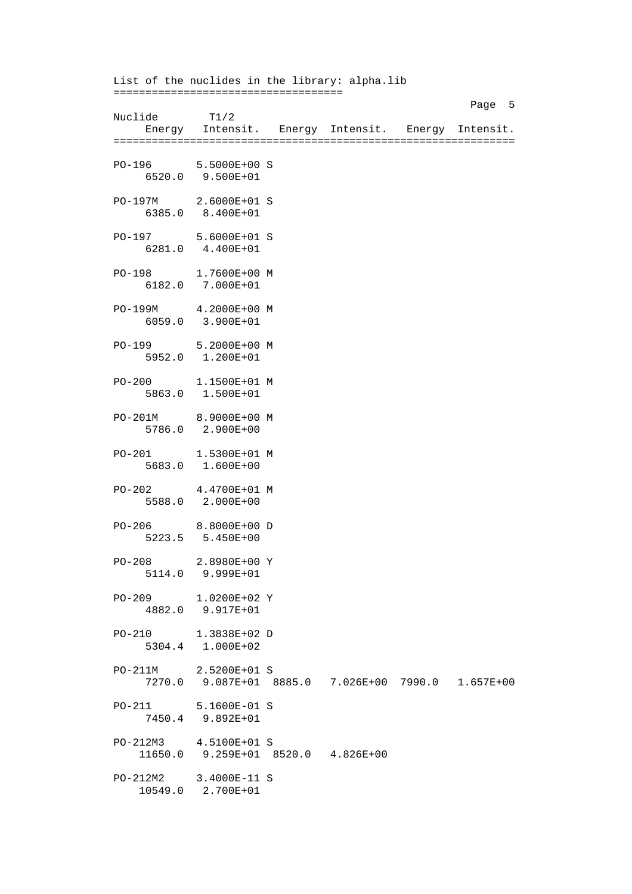List of the nuclides in the library: alpha.lib ==================================== Page 5 Nuclide T1/2 Energy Intensit. Energy Intensit. Energy Intensit. =============================================================== PO-196 5.5000E+00 S 6520.0 9.500E+01 PO-197M 2.6000E+01 S 6385.0 8.400E+01 PO-197 5.6000E+01 S 6281.0 4.400E+01 PO-198 1.7600E+00 M 6182.0 7.000E+01 PO-199M 4.2000E+00 M 6059.0 3.900E+01 PO-199 5.2000E+00 M 5952.0 1.200E+01 PO-200 1.1500E+01 M 5863.0 1.500E+01 PO-201M 8.9000E+00 M 5786.0 2.900E+00 PO-201 1.5300E+01 M 5683.0 1.600E+00 PO-202 4.4700E+01 M 5588.0 2.000E+00 PO-206 8.8000E+00 D 5223.5 5.450E+00 PO-208 2.8980E+00 Y 5114.0 9.999E+01 PO-209 1.0200E+02 Y 4882.0 9.917E+01 PO-210 1.3838E+02 D 5304.4 1.000E+02 PO-211M 2.5200E+01 S 7270.0 9.087E+01 8885.0 7.026E+00 7990.0 1.657E+00 PO-211 5.1600E-01 S 7450.4 9.892E+01 PO-212M3 4.5100E+01 S 11650.0 9.259E+01 8520.0 4.826E+00 PO-212M2 3.4000E-11 S 10549.0 2.700E+01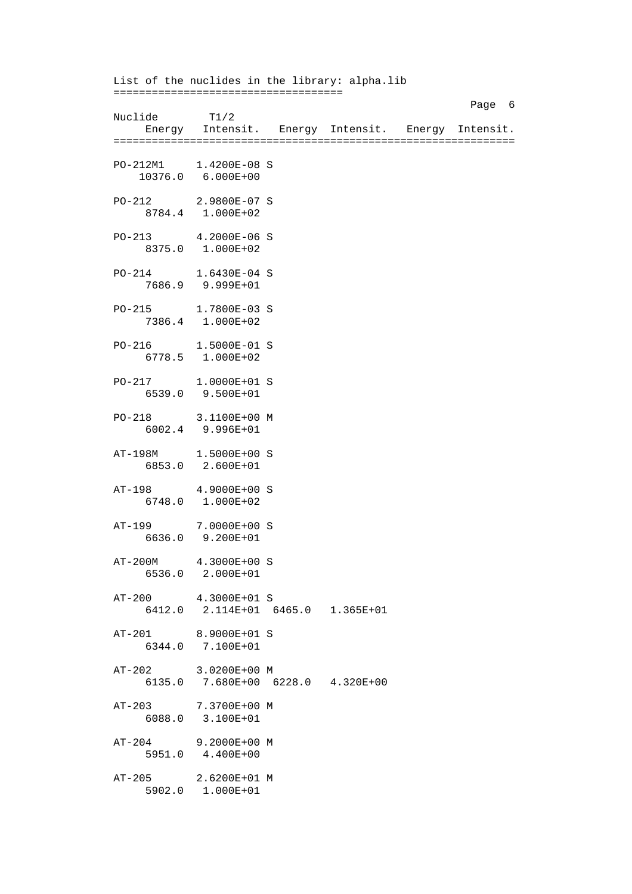List of the nuclides in the library: alpha.lib ==================================== Page 6 and the state of the state of the state of the state of the state of the state of the state of the state of the state of the state of the state of the state of the state of the state of the state of the state of the Nuclide T1/2 Energy Intensit. Energy Intensit. Energy Intensit. =============================================================== PO-212M1 1.4200E-08 S 10376.0 6.000E+00 PO-212 2.9800E-07 S 8784.4 1.000E+02 PO-213 4.2000E-06 S 8375.0 1.000E+02 PO-214 1.6430E-04 S 7686.9 9.999E+01 PO-215 1.7800E-03 S 7386.4 1.000E+02 PO-216 1.5000E-01 S 6778.5 1.000E+02 PO-217 1.0000E+01 S 6539.0 9.500E+01 PO-218 3.1100E+00 M 6002.4 9.996E+01 AT-198M 1.5000E+00 S 6853.0 2.600E+01 AT-198 4.9000E+00 S 6748.0 1.000E+02 AT-199 7.0000E+00 S 6636.0 9.200E+01 AT-200M 4.3000E+00 S 6536.0 2.000E+01 AT-200 4.3000E+01 S 6412.0 2.114E+01 6465.0 1.365E+01 AT-201 8.9000E+01 S 6344.0 7.100E+01 AT-202 3.0200E+00 M 6135.0 7.680E+00 6228.0 4.320E+00 AT-203 7.3700E+00 M 6088.0 3.100E+01 AT-204 9.2000E+00 M 5951.0 4.400E+00 AT-205 2.6200E+01 M 5902.0 1.000E+01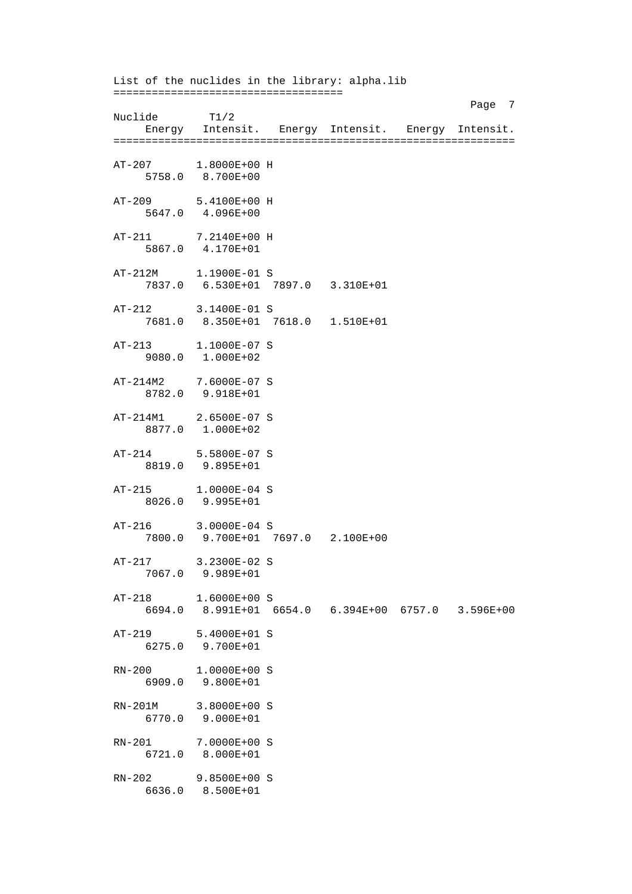List of the nuclides in the library: alpha.lib ==================================== Page 7 and 2012 and 2012 and 2012 and 2012 and 2012 and 2012 and 2012 and 2012 and 2012 and 2012 and 2012 and 2012 and 2012 and 2012 and 2012 and 2012 and 2012 and 2012 and 2012 and 2012 and 2012 and 2012 and 2012 and 2012 Nuclide T1/2 Energy Intensit. Energy Intensit. Energy Intensit. =============================================================== AT-207 1.8000E+00 H 5758.0 8.700E+00 AT-209 5.4100E+00 H 5647.0 4.096E+00 AT-211 7.2140E+00 H 5867.0 4.170E+01 AT-212M 1.1900E-01 S 7837.0 6.530E+01 7897.0 3.310E+01 AT-212 3.1400E-01 S 7681.0 8.350E+01 7618.0 1.510E+01 AT-213 1.1000E-07 S 9080.0 1.000E+02 AT-214M2 7.6000E-07 S 8782.0 9.918E+01 AT-214M1 2.6500E-07 S 8877.0 1.000E+02 AT-214 5.5800E-07 S 8819.0 9.895E+01 AT-215 1.0000E-04 S 8026.0 9.995E+01 AT-216 3.0000E-04 S 7800.0 9.700E+01 7697.0 2.100E+00 AT-217 3.2300E-02 S 7067.0 9.989E+01 AT-218 1.6000E+00 S 6694.0 8.991E+01 6654.0 6.394E+00 6757.0 3.596E+00 AT-219 5.4000E+01 S 6275.0 9.700E+01 RN-200 1.0000E+00 S 6909.0 9.800E+01 RN-201M 3.8000E+00 S 6770.0 9.000E+01 RN-201 7.0000E+00 S 6721.0 8.000E+01 RN-202 9.8500E+00 S 6636.0 8.500E+01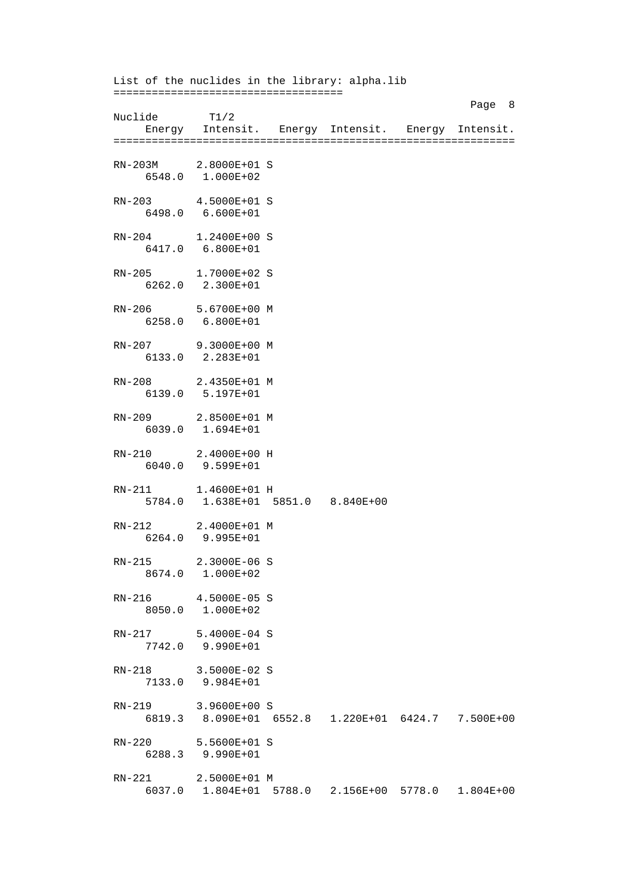List of the nuclides in the library: alpha.lib ==================================== Page 8 and 2012 and 2012 and 2012 and 2012 and 2012 and 2012 and 2012 and 2012 and 2012 and 2012 and 2012 and Nuclide T1/2 Energy Intensit. Energy Intensit. Energy Intensit. =============================================================== RN-203M 2.8000E+01 S 6548.0 1.000E+02 RN-203 4.5000E+01 S 6498.0 6.600E+01 RN-204 1.2400E+00 S 6417.0 6.800E+01 RN-205 1.7000E+02 S 6262.0 2.300E+01 RN-206 5.6700E+00 M 6258.0 6.800E+01 RN-207 9.3000E+00 M 6133.0 2.283E+01 RN-208 2.4350E+01 M 6139.0 5.197E+01 RN-209 2.8500E+01 M 6039.0 1.694E+01 RN-210 2.4000E+00 H 6040.0 9.599E+01 RN-211 1.4600E+01 H 5784.0 1.638E+01 5851.0 8.840E+00 RN-212 2.4000E+01 M 6264.0 9.995E+01 RN-215 2.3000E-06 S 8674.0 1.000E+02 RN-216 4.5000E-05 S 8050.0 1.000E+02 RN-217 5.4000E-04 S 7742.0 9.990E+01 RN-218 3.5000E-02 S 7133.0 9.984E+01 RN-219 3.9600E+00 S 6819.3 8.090E+01 6552.8 1.220E+01 6424.7 7.500E+00 RN-220 5.5600E+01 S 6288.3 9.990E+01 RN-221 2.5000E+01 M 6037.0 1.804E+01 5788.0 2.156E+00 5778.0 1.804E+00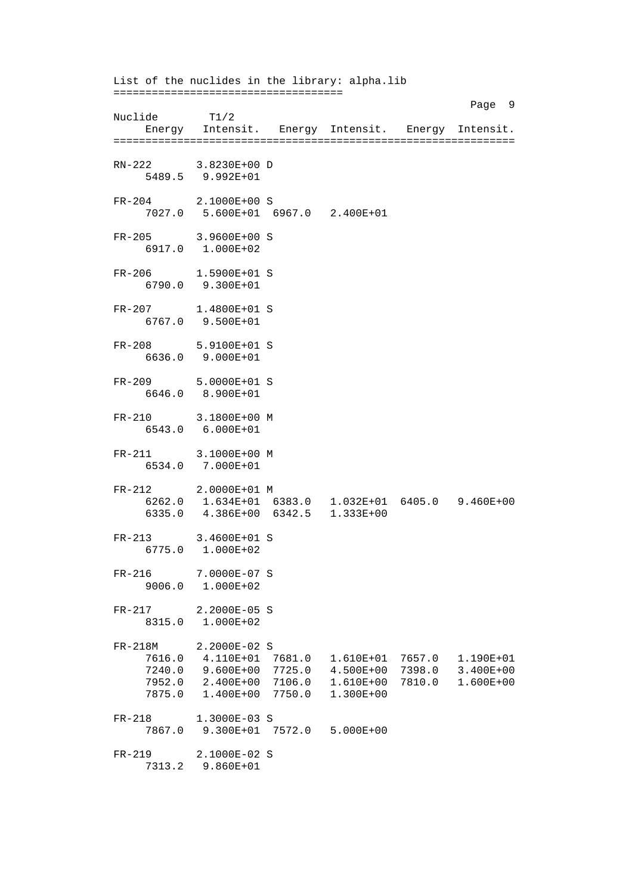List of the nuclides in the library: alpha.lib ==================================== Page 9 Nuclide T1/2 Energy Intensit. Energy Intensit. Energy Intensit. =============================================================== RN-222 3.8230E+00 D 5489.5 9.992E+01 FR-204 2.1000E+00 S 7027.0 5.600E+01 6967.0 2.400E+01 FR-205 3.9600E+00 S 6917.0 1.000E+02 FR-206 1.5900E+01 S 6790.0 9.300E+01 FR-207 1.4800E+01 S 6767.0 9.500E+01 FR-208 5.9100E+01 S 6636.0 9.000E+01 FR-209 5.0000E+01 S 6646.0 8.900E+01 FR-210 3.1800E+00 M 6543.0 6.000E+01 FR-211 3.1000E+00 M 6534.0 7.000E+01 FR-212 2.0000E+01 M 6262.0 1.634E+01 6383.0 1.032E+01 6405.0 9.460E+00 6335.0 4.386E+00 6342.5 1.333E+00 FR-213 3.4600E+01 S 6775.0 1.000E+02 FR-216 7.0000E-07 S 9006.0 1.000E+02 FR-217 2.2000E-05 S 8315.0 1.000E+02 FR-218M 2.2000E-02 S 7616.0 4.110E+01 7681.0 1.610E+01 7657.0 1.190E+01 7240.0 9.600E+00 7725.0 4.500E+00 7398.0 3.400E+00 7952.0 2.400E+00 7106.0 1.610E+00 7810.0 1.600E+00 7875.0 1.400E+00 7750.0 1.300E+00 FR-218 1.3000E-03 S 7867.0 9.300E+01 7572.0 5.000E+00 FR-219 2.1000E-02 S 7313.2 9.860E+01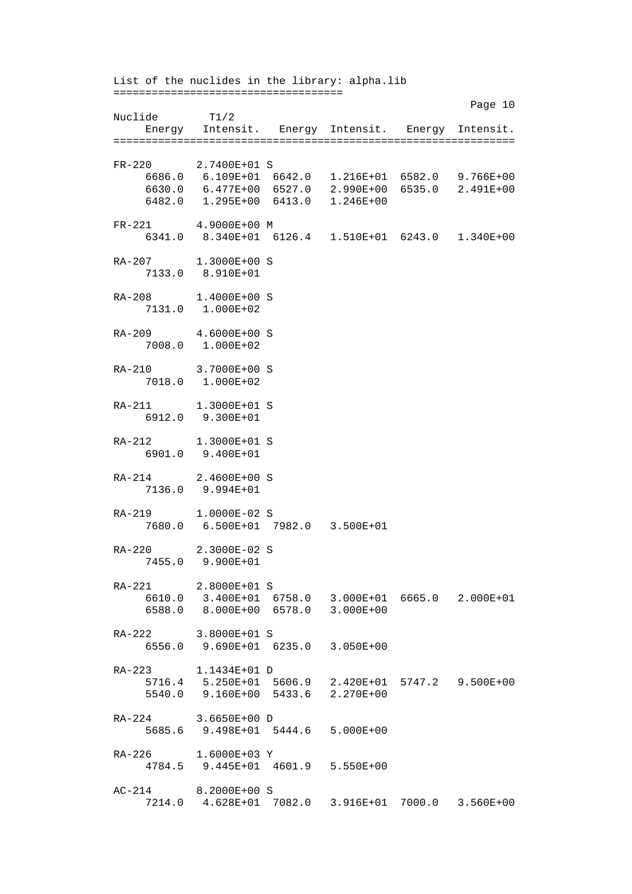List of the nuclides in the library: alpha.lib ==================================== Page 10 Nuclide T1/2 Energy Intensit. Energy Intensit. Energy Intensit. =============================================================== FR-220 2.7400E+01 S 6686.0 6.109E+01 6642.0 1.216E+01 6582.0 9.766E+00 6630.0 6.477E+00 6527.0 2.990E+00 6535.0 2.491E+00 6482.0 1.295E+00 6413.0 1.246E+00 FR-221 4.9000E+00 M 6341.0 8.340E+01 6126.4 1.510E+01 6243.0 1.340E+00 RA-207 1.3000E+00 S 7133.0 8.910E+01 RA-208 1.4000E+00 S 7131.0 1.000E+02 RA-209 4.6000E+00 S 7008.0 1.000E+02 RA-210 3.7000E+00 S 7018.0 1.000E+02 RA-211 1.3000E+01 S 6912.0 9.300E+01 RA-212 1.3000E+01 S 6901.0 9.400E+01 RA-214 2.4600E+00 S 7136.0 9.994E+01 RA-219 1.0000E-02 S 7680.0 6.500E+01 7982.0 3.500E+01 RA-220 2.3000E-02 S 7455.0 9.900E+01 RA-221 2.8000E+01 S 6610.0 3.400E+01 6758.0 3.000E+01 6665.0 2.000E+01 6588.0 8.000E+00 6578.0 3.000E+00 RA-222 3.8000E+01 S 6556.0 9.690E+01 6235.0 3.050E+00 RA-223 1.1434E+01 D 5716.4 5.250E+01 5606.9 2.420E+01 5747.2 9.500E+00 5540.0 9.160E+00 5433.6 2.270E+00 RA-224 3.6650E+00 D 5685.6 9.498E+01 5444.6 5.000E+00 RA-226 1.6000E+03 Y 4784.5 9.445E+01 4601.9 5.550E+00 AC-214 8.2000E+00 S 7214.0 4.628E+01 7082.0 3.916E+01 7000.0 3.560E+00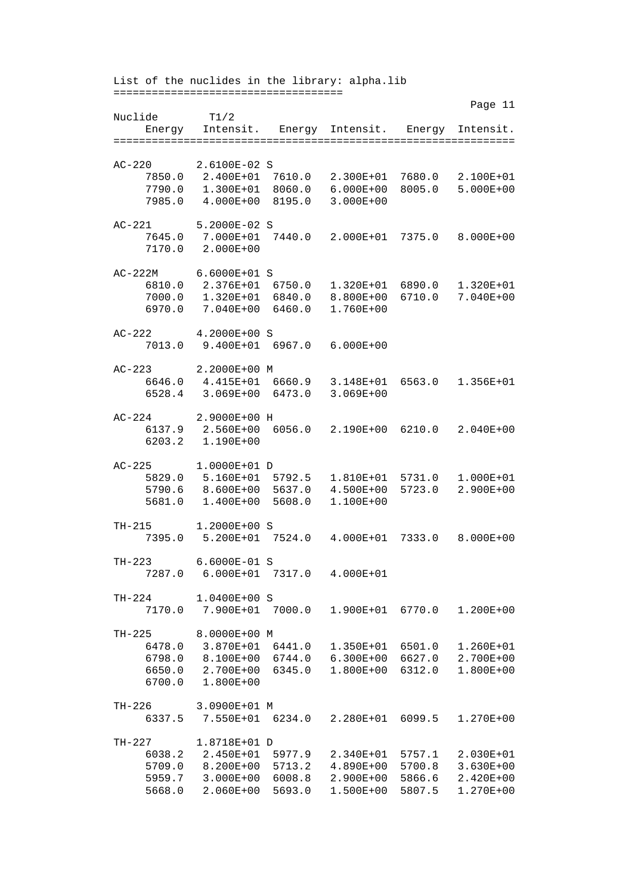List of the nuclides in the library: alpha.lib ==================================== Page 11 Page 11 Nuclide T1/2 Energy Intensit. Energy Intensit. Energy Intensit. =============================================================== AC-220 2.6100E-02 S 7850.0 2.400E+01 7610.0 2.300E+01 7680.0 2.100E+01 7790.0 1.300E+01 8060.0 6.000E+00 8005.0 5.000E+00 7985.0 4.000E+00 8195.0 3.000E+00 AC-221 5.2000E-02 S 7645.0 7.000E+01 7440.0 2.000E+01 7375.0 8.000E+00 7170.0 2.000E+00 AC-222M 6.6000E+01 S 6810.0 2.376E+01 6750.0 1.320E+01 6890.0 1.320E+01 7000.0 1.320E+01 6840.0 8.800E+00 6710.0 7.040E+00 6970.0 7.040E+00 6460.0 1.760E+00 AC-222 4.2000E+00 S 7013.0 9.400E+01 6967.0 6.000E+00 AC-223 2.2000E+00 M 6646.0 4.415E+01 6660.9 3.148E+01 6563.0 1.356E+01 6528.4 3.069E+00 6473.0 3.069E+00 AC-224 2.9000E+00 H 6137.9 2.560E+00 6056.0 2.190E+00 6210.0 2.040E+00 6203.2 1.190E+00 AC-225 1.0000E+01 D 5829.0 5.160E+01 5792.5 1.810E+01 5731.0 1.000E+01 5790.6 8.600E+00 5637.0 4.500E+00 5723.0 2.900E+00 5681.0 1.400E+00 5608.0 1.100E+00 TH-215 1.2000E+00 S 7395.0 5.200E+01 7524.0 4.000E+01 7333.0 8.000E+00 TH-223 6.6000E-01 S 7287.0 6.000E+01 7317.0 4.000E+01 TH-224 1.0400E+00 S 7170.0 7.900E+01 7000.0 1.900E+01 6770.0 1.200E+00 TH-225 8.0000E+00 M 6478.0 3.870E+01 6441.0 1.350E+01 6501.0 1.260E+01 6798.0 8.100E+00 6744.0 6.300E+00 6627.0 2.700E+00 6650.0 2.700E+00 6345.0 1.800E+00 6312.0 1.800E+00 6700.0 1.800E+00 TH-226 3.0900E+01 M 6337.5 7.550E+01 6234.0 2.280E+01 6099.5 1.270E+00 TH-227 1.8718E+01 D 6038.2 2.450E+01 5977.9 2.340E+01 5757.1 2.030E+01 5709.0 8.200E+00 5713.2 4.890E+00 5700.8 3.630E+00 5959.7 3.000E+00 6008.8 2.900E+00 5866.6 2.420E+00 5668.0 2.060E+00 5693.0 1.500E+00 5807.5 1.270E+00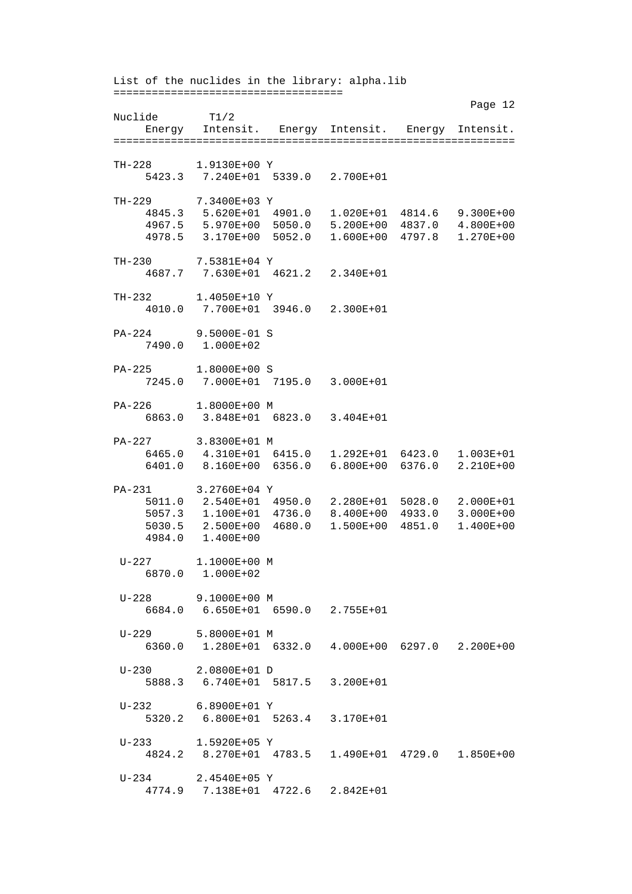List of the nuclides in the library: alpha.lib ==================================== Page 12 Nuclide T1/2 Energy Intensit. Energy Intensit. Energy Intensit. =============================================================== TH-228 1.9130E+00 Y 5423.3 7.240E+01 5339.0 2.700E+01 TH-229 7.3400E+03 Y 4845.3 5.620E+01 4901.0 1.020E+01 4814.6 9.300E+00 4967.5 5.970E+00 5050.0 5.200E+00 4837.0 4.800E+00 4978.5 3.170E+00 5052.0 1.600E+00 4797.8 1.270E+00 TH-230 7.5381E+04 Y 4687.7 7.630E+01 4621.2 2.340E+01 TH-232 1.4050E+10 Y 4010.0 7.700E+01 3946.0 2.300E+01 PA-224 9.5000E-01 S 7490.0 1.000E+02 PA-225 1.8000E+00 S 7245.0 7.000E+01 7195.0 3.000E+01 PA-226 1.8000E+00 M 6863.0 3.848E+01 6823.0 3.404E+01 PA-227 3.8300E+01 M 6465.0 4.310E+01 6415.0 1.292E+01 6423.0 1.003E+01 6401.0 8.160E+00 6356.0 6.800E+00 6376.0 2.210E+00 PA-231 3.2760E+04 Y 5011.0 2.540E+01 4950.0 2.280E+01 5028.0 2.000E+01 5057.3 1.100E+01 4736.0 8.400E+00 4933.0 3.000E+00 5030.5 2.500E+00 4680.0 1.500E+00 4851.0 1.400E+00 4984.0 1.400E+00 U-227 1.1000E+00 M 6870.0 1.000E+02 U-228 9.1000E+00 M 6684.0 6.650E+01 6590.0 2.755E+01 U-229 5.8000E+01 M 6360.0 1.280E+01 6332.0 4.000E+00 6297.0 2.200E+00 U-230 2.0800E+01 D 5888.3 6.740E+01 5817.5 3.200E+01 U-232 6.8900E+01 Y 5320.2 6.800E+01 5263.4 3.170E+01 U-233 1.5920E+05 Y 4824.2 8.270E+01 4783.5 1.490E+01 4729.0 1.850E+00 U-234 2.4540E+05 Y 4774.9 7.138E+01 4722.6 2.842E+01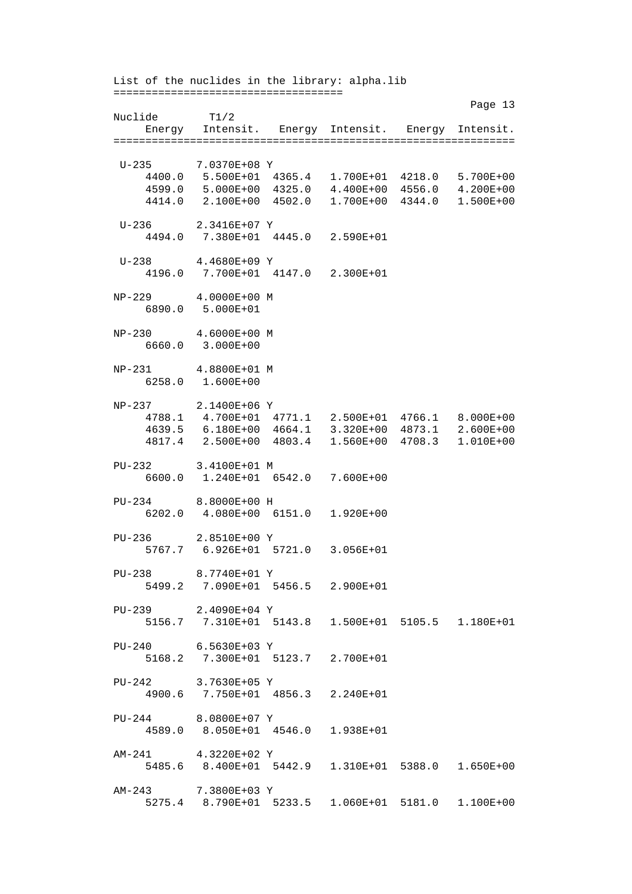List of the nuclides in the library: alpha.lib ==================================== Page 13 Nuclide T1/2 Energy Intensit. Energy Intensit. Energy Intensit. =============================================================== U-235 7.0370E+08 Y 4400.0 5.500E+01 4365.4 1.700E+01 4218.0 5.700E+00 4599.0 5.000E+00 4325.0 4.400E+00 4556.0 4.200E+00 4414.0 2.100E+00 4502.0 1.700E+00 4344.0 1.500E+00 U-236 2.3416E+07 Y 4494.0 7.380E+01 4445.0 2.590E+01 U-238 4.4680E+09 Y 4196.0 7.700E+01 4147.0 2.300E+01 NP-229 4.0000E+00 M 6890.0 5.000E+01 NP-230 4.6000E+00 M 6660.0 3.000E+00 NP-231 4.8800E+01 M 6258.0 1.600E+00 NP-237 2.1400E+06 Y 4788.1 4.700E+01 4771.1 2.500E+01 4766.1 8.000E+00 4639.5 6.180E+00 4664.1 3.320E+00 4873.1 2.600E+00 4817.4 2.500E+00 4803.4 1.560E+00 4708.3 1.010E+00 PU-232 3.4100E+01 M 6600.0 1.240E+01 6542.0 7.600E+00 PU-234 8.8000E+00 H 6202.0 4.080E+00 6151.0 1.920E+00 PU-236 2.8510E+00 Y 5767.7 6.926E+01 5721.0 3.056E+01 PU-238 8.7740E+01 Y 5499.2 7.090E+01 5456.5 2.900E+01 PU-239 2.4090E+04 Y 5156.7 7.310E+01 5143.8 1.500E+01 5105.5 1.180E+01 PU-240 6.5630E+03 Y 5168.2 7.300E+01 5123.7 2.700E+01 PU-242 3.7630E+05 Y 4900.6 7.750E+01 4856.3 2.240E+01 PU-244 8.0800E+07 Y 4589.0 8.050E+01 4546.0 1.938E+01 AM-241 4.3220E+02 Y 5485.6 8.400E+01 5442.9 1.310E+01 5388.0 1.650E+00 AM-243 7.3800E+03 Y 5275.4 8.790E+01 5233.5 1.060E+01 5181.0 1.100E+00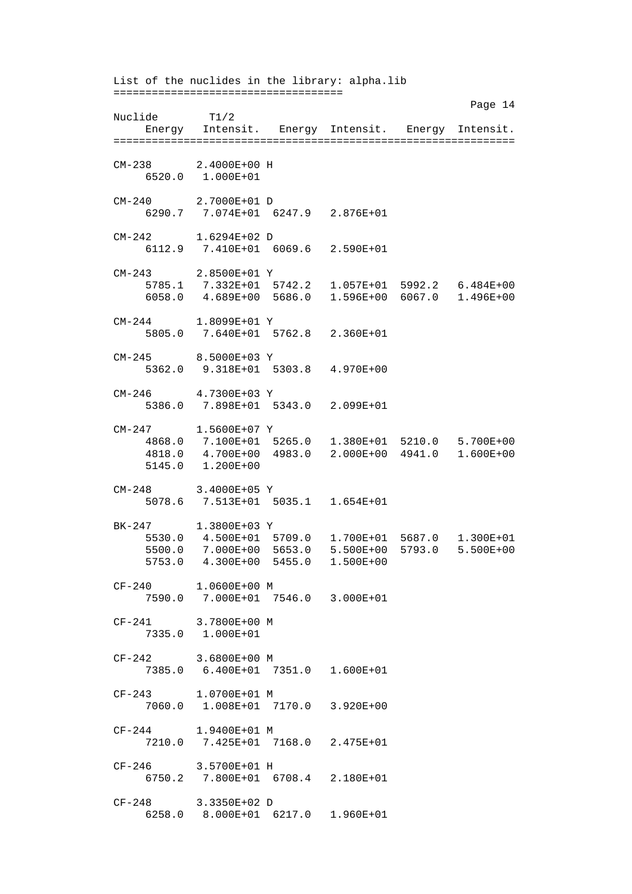List of the nuclides in the library: alpha.lib ==================================== Page 14 Nuclide T1/2 Energy Intensit. Energy Intensit. Energy Intensit. =============================================================== CM-238 2.4000E+00 H 6520.0 1.000E+01 CM-240 2.7000E+01 D 6290.7 7.074E+01 6247.9 2.876E+01 CM-242 1.6294E+02 D 6112.9 7.410E+01 6069.6 2.590E+01 CM-243 2.8500E+01 Y<br>5785.1 7.332E+01 5 5785.1 7.332E+01 5742.2 1.057E+01 5992.2 6.484E+00 6058.0 4.689E+00 5686.0 1.596E+00 6067.0 1.496E+00 CM-244 1.8099E+01 Y 5805.0 7.640E+01 5762.8 2.360E+01 CM-245 8.5000E+03 Y 5362.0 9.318E+01 5303.8 4.970E+00 CM-246 4.7300E+03 Y 5386.0 7.898E+01 5343.0 2.099E+01 CM-247 1.5600E+07 Y 4868.0 7.100E+01 5265.0 1.380E+01 5210.0 5.700E+00 4818.0 4.700E+00 4983.0 2.000E+00 4941.0 1.600E+00 5145.0 1.200E+00 CM-248 3.4000E+05 Y 5078.6 7.513E+01 5035.1 1.654E+01 BK-247 1.3800E+03 Y 5530.0 4.500E+01 5709.0 1.700E+01 5687.0 1.300E+01 5500.0 7.000E+00 5653.0 5.500E+00 5793.0 5.500E+00 5753.0 4.300E+00 5455.0 1.500E+00 CF-240 1.0600E+00 M 7590.0 7.000E+01 7546.0 3.000E+01 CF-241 3.7800E+00 M 7335.0 1.000E+01 CF-242 3.6800E+00 M 7385.0 6.400E+01 7351.0 1.600E+01 CF-243 1.0700E+01 M 7060.0 1.008E+01 7170.0 3.920E+00 CF-244 1.9400E+01 M 7210.0 7.425E+01 7168.0 2.475E+01 CF-246 3.5700E+01 H 6750.2 7.800E+01 6708.4 2.180E+01 CF-248 3.3350E+02 D 6258.0 8.000E+01 6217.0 1.960E+01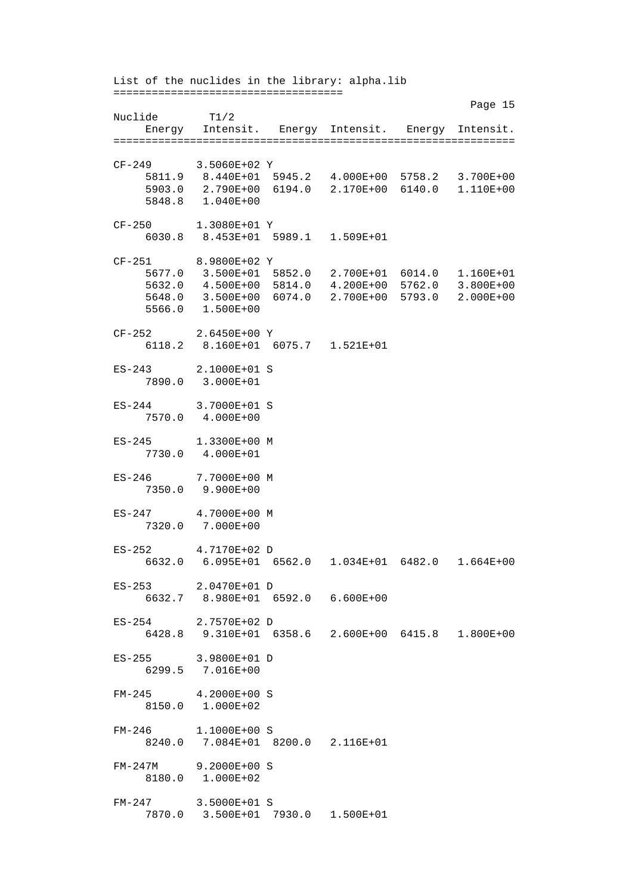List of the nuclides in the library: alpha.lib ==================================== Page 15 Nuclide T1/2 Energy Intensit. Energy Intensit. Energy Intensit. =============================================================== CF-249 3.5060E+02 Y 5811.9 8.440E+01 5945.2 4.000E+00 5758.2 3.700E+00 5903.0 2.790E+00 6194.0 2.170E+00 6140.0 1.110E+00 5848.8 1.040E+00 CF-250 1.3080E+01 Y 6030.8 8.453E+01 5989.1 1.509E+01 CF-251 8.9800E+02 Y 5677.0 3.500E+01 5852.0 2.700E+01 6014.0 1.160E+01 5632.0 4.500E+00 5814.0 4.200E+00 5762.0 3.800E+00 5648.0 3.500E+00 6074.0 2.700E+00 5793.0 2.000E+00 5566.0 1.500E+00 CF-252 2.6450E+00 Y 6118.2 8.160E+01 6075.7 1.521E+01 ES-243 2.1000E+01 S 7890.0 3.000E+01 ES-244 3.7000E+01 S 7570.0 4.000E+00 ES-245 1.3300E+00 M 7730.0 4.000E+01 ES-246 7.7000E+00 M 7350.0 9.900E+00 ES-247 4.7000E+00 M 7320.0 7.000E+00 ES-252 4.7170E+02 D 6632.0 6.095E+01 6562.0 1.034E+01 6482.0 1.664E+00 ES-253 2.0470E+01 D 6632.7 8.980E+01 6592.0 6.600E+00 ES-254 2.7570E+02 D 6428.8 9.310E+01 6358.6 2.600E+00 6415.8 1.800E+00 ES-255 3.9800E+01 D 6299.5 7.016E+00 FM-245 4.2000E+00 S 8150.0 1.000E+02 FM-246 1.1000E+00 S 8240.0 7.084E+01 8200.0 2.116E+01 FM-247M 9.2000E+00 S 8180.0 1.000E+02 FM-247 3.5000E+01 S 7870.0 3.500E+01 7930.0 1.500E+01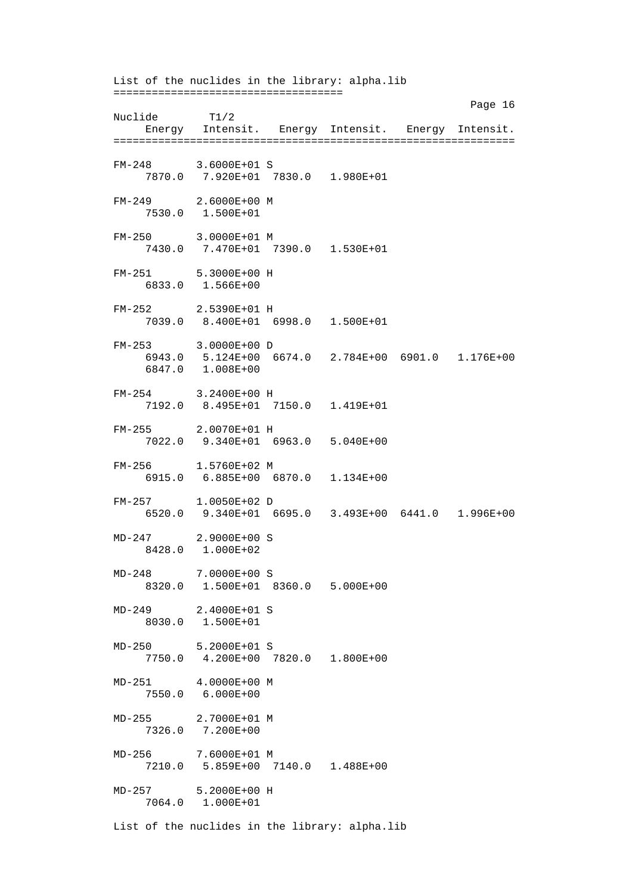List of the nuclides in the library: alpha.lib ==================================== Page 16 Nuclide T1/2 Energy Intensit. Energy Intensit. Energy Intensit. =============================================================== FM-248 3.6000E+01 S 7870.0 7.920E+01 7830.0 1.980E+01 FM-249 2.6000E+00 M 7530.0 1.500E+01 FM-250 3.0000E+01 M 7430.0 7.470E+01 7390.0 1.530E+01 FM-251 5.3000E+00 H 6833.0 1.566E+00 FM-252 2.5390E+01 H 7039.0 8.400E+01 6998.0 1.500E+01 FM-253 3.0000E+00 D 6943.0 5.124E+00 6674.0 2.784E+00 6901.0 1.176E+00 6847.0 1.008E+00 FM-254 3.2400E+00 H 7192.0 8.495E+01 7150.0 1.419E+01 FM-255 2.0070E+01 H 7022.0 9.340E+01 6963.0 5.040E+00 FM-256 1.5760E+02 M 6915.0 6.885E+00 6870.0 1.134E+00 FM-257 1.0050E+02 D 6520.0 9.340E+01 6695.0 3.493E+00 6441.0 1.996E+00 MD-247 2.9000E+00 S 8428.0 1.000E+02 MD-248 7.0000E+00 S 8320.0 1.500E+01 8360.0 5.000E+00 MD-249 2.4000E+01 S 8030.0 1.500E+01 MD-250 5.2000E+01 S 7750.0 4.200E+00 7820.0 1.800E+00 MD-251 4.0000E+00 M 7550.0 6.000E+00 MD-255 2.7000E+01 M 7326.0 7.200E+00 MD-256 7.6000E+01 M 7210.0 5.859E+00 7140.0 1.488E+00 MD-257 5.2000E+00 H 7064.0 1.000E+01 List of the nuclides in the library: alpha.lib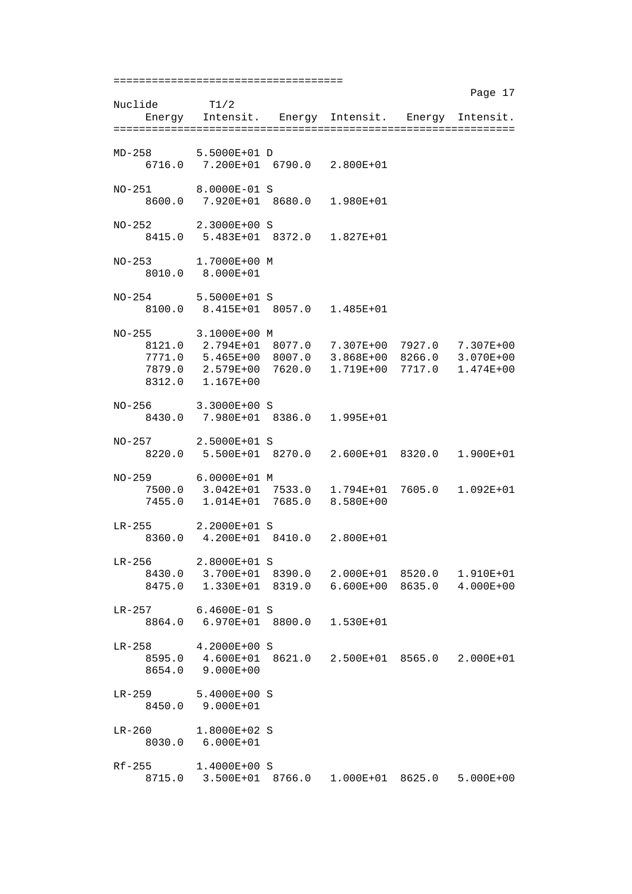==================================== Page 17 Nuclide T1/2 Energy Intensit. Energy Intensit. Energy Intensit. =============================================================== MD-258 5.5000E+01 D 6716.0 7.200E+01 6790.0 2.800E+01 NO-251 8.0000E-01 S 8600.0 7.920E+01 8680.0 1.980E+01 NO-252 2.3000E+00 S 8415.0 5.483E+01 8372.0 1.827E+01 NO-253 1.7000E+00 M 8010.0 8.000E+01 NO-254 5.5000E+01 S 8100.0 8.415E+01 8057.0 1.485E+01 NO-255 3.1000E+00 M 8121.0 2.794E+01 8077.0 7.307E+00 7927.0 7.307E+00 7771.0 5.465E+00 8007.0 3.868E+00 8266.0 3.070E+00 7879.0 2.579E+00 7620.0 1.719E+00 7717.0 1.474E+00 8312.0 1.167E+00 NO-256 3.3000E+00 S 8430.0 7.980E+01 8386.0 1.995E+01 NO-257 2.5000E+01 S 8220.0 5.500E+01 8270.0 2.600E+01 8320.0 1.900E+01 NO-259 6.0000E+01 M 7500.0 3.042E+01 7533.0 1.794E+01 7605.0 1.092E+01 7455.0 1.014E+01 7685.0 8.580E+00 LR-255 2.2000E+01 S 8360.0 4.200E+01 8410.0 2.800E+01 LR-256 2.8000E+01 S 8430.0 3.700E+01 8390.0 2.000E+01 8520.0 1.910E+01 8475.0 1.330E+01 8319.0 6.600E+00 8635.0 4.000E+00 LR-257 6.4600E-01 S 8864.0 6.970E+01 8800.0 1.530E+01 LR-258 4.2000E+00 S 8595.0 4.600E+01 8621.0 2.500E+01 8565.0 2.000E+01 8654.0 9.000E+00 LR-259 5.4000E+00 S 8450.0 9.000E+01 LR-260 1.8000E+02 S 8030.0 6.000E+01 Rf-255 1.4000E+00 S 8715.0 3.500E+01 8766.0 1.000E+01 8625.0 5.000E+00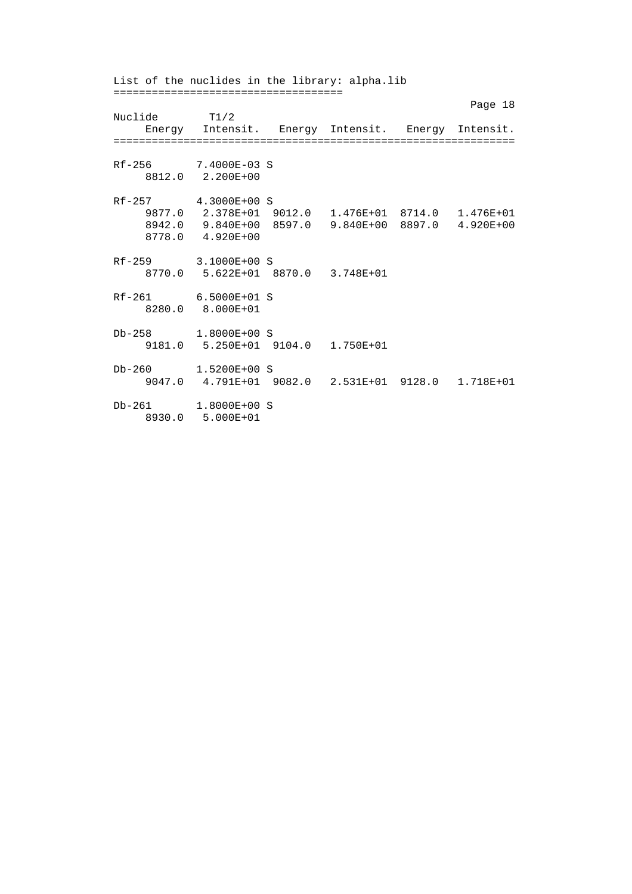List of the nuclides in the library: alpha.lib ==================================== Page 18 Nuclide T1/2 Energy Intensit. Energy Intensit. Energy Intensit. =============================================================== Rf-256 7.4000E-03 S 8812.0 2.200E+00 Rf-257 4.3000E+00 S 9877.0 2.378E+01 9012.0 1.476E+01 8714.0 1.476E+01 8942.0 9.840E+00 8597.0 9.840E+00 8897.0 4.920E+00 8778.0 4.920E+00 Rf-259 3.1000E+00 S 8770.0 5.622E+01 8870.0 3.748E+01 Rf-261 6.5000E+01 S 8280.0 8.000E+01 Db-258 1.8000E+00 S 9181.0 5.250E+01 9104.0 1.750E+01 Db-260 1.5200E+00 S 9047.0 4.791E+01 9082.0 2.531E+01 9128.0 1.718E+01 Db-261 1.8000E+00 S 8930.0 5.000E+01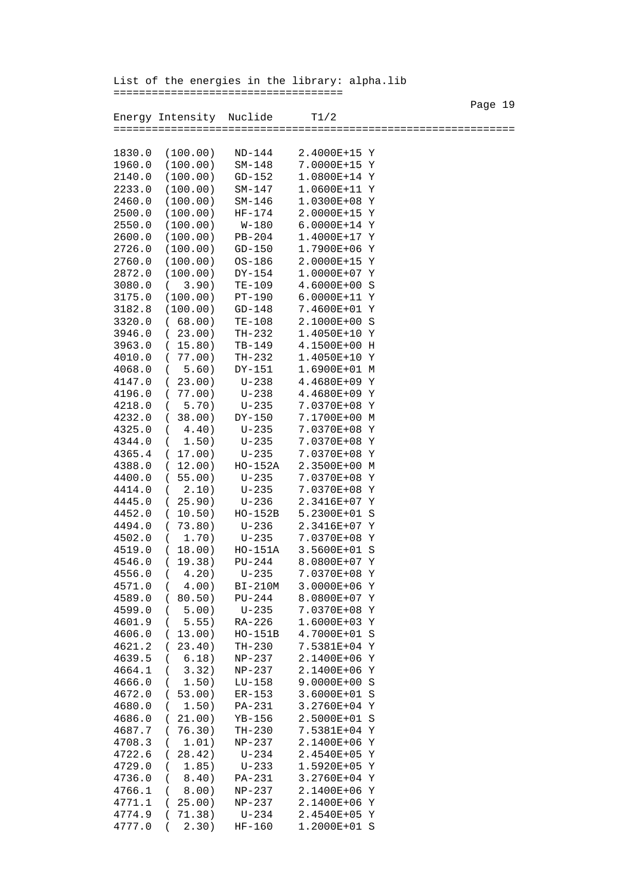Page 19

 Energy Intensity Nuclide T1/2 =============================================================== 1830.0 (100.00) ND-144 2.4000E+15 Y 1960.0 (100.00) SM-148 7.0000E+15 Y 2140.0 (100.00) GD-152 1.0800E+14 Y 2233.0 (100.00) SM-147 1.0600E+11 Y 2460.0 (100.00) SM-146 1.0300E+08 Y 2500.0 (100.00) HF-174 2.0000E+15 Y 2550.0 (100.00) W-180 6.0000E+14 Y<br>2600.0 (100.00) PB-204 1.4000E+17 Y 2600.0 (100.00) PB-204 2726.0 (100.00) GD-150 1.7900E+06 Y 2760.0 (100.00) OS-186 2.0000E+15 Y 2872.0 (100.00) DY-154 1.0000E+07 Y 3080.0 ( 3.90) TE-109 4.6000E+00 S 3175.0 (100.00) PT-190 6.0000E+11 Y 3182.8 (100.00) GD-148 7.4600E+01 Y 3320.0 ( 68.00) TE-108 2.1000E+00 S 3946.0 ( 23.00) TH-232 1.4050E+10 Y 3963.0 ( 15.80) TB-149 4.1500E+00 H 4010.0 ( 77.00) TH-232 1.4050E+10 Y 4068.0 ( 5.60) DY-151 1.6900E+01 M 4147.0 ( 23.00) U-238 4.4680E+09 Y 4196.0 ( 77.00) U-238 4.4680E+09 Y 4218.0 ( 5.70) U-235 7.0370E+08 Y 4232.0 ( 38.00) DY-150 7.1700E+00 M 4325.0 ( 4.40) U-235 7.0370E+08 Y 4344.0 ( 1.50) U-235 7.0370E+08 Y 4365.4 ( 17.00) U-235 7.0370E+08 Y 4388.0 ( 12.00) HO-152A 2.3500E+00 M 4400.0 ( 55.00) U-235 7.0370E+08 Y 4414.0 ( 2.10) U-235 7.0370E+08 Y 4445.0 ( 25.90) U-236 2.3416E+07 Y 4452.0 ( 10.50) HO-152B 5.2300E+01 S 4494.0 ( 73.80) U-236 2.3416E+07 Y 4502.0 ( 1.70) U-235 7.0370E+08 Y 4519.0 ( 18.00) HO-151A 3.5600E+01 S 4546.0 ( 19.38) PU-244 8.0800E+07 Y 4556.0 ( 4.20) U-235 7.0370E+08 Y 4571.0 ( 4.00) BI-210M 3.0000E+06 Y 4589.0 ( 80.50) PU-244 8.0800E+07 Y 4599.0 ( 5.00) U-235 7.0370E+08 Y 4601.9 ( 5.55) RA-226 1.6000E+03 Y 4606.0 ( 13.00) HO-151B 4.7000E+01 S 4621.2 ( 23.40) TH-230 7.5381E+04 Y 4639.5 ( 6.18) NP-237 2.1400E+06 Y 4664.1 ( 3.32) NP-237 2.1400E+06 Y 4666.0 ( 1.50) LU-158 9.0000E+00 S 4672.0 ( 53.00) ER-153 3.6000E+01 S 4680.0 ( 1.50) PA-231 3.2760E+04 Y 4686.0 ( 21.00) YB-156 2.5000E+01 S 4687.7 ( 76.30) TH-230 7.5381E+04 Y 4708.3 ( 1.01) NP-237 2.1400E+06 Y 4722.6 ( 28.42) U-234 2.4540E+05 Y 4729.0 ( 1.85) U-233 1.5920E+05 Y 4736.0 ( 8.40) PA-231 3.2760E+04 Y 4766.1 ( 8.00) NP-237 2.1400E+06 Y 4771.1 ( 25.00) NP-237 2.1400E+06 Y 4774.9 ( 71.38) U-234 2.4540E+05 Y 4777.0 ( 2.30) HF-160 1.2000E+01 S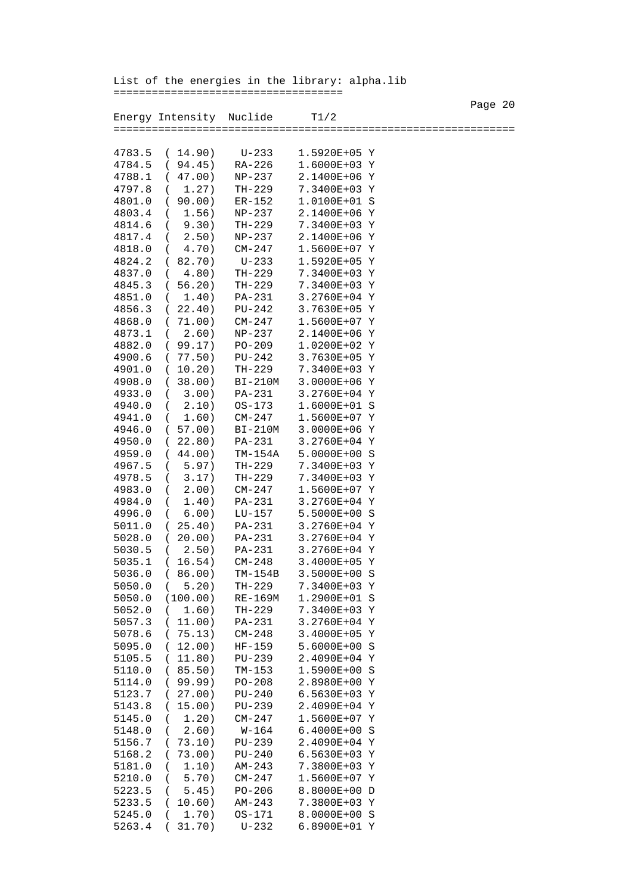List of the energies in the library: alpha.lib

====================================

Page 20 Energy Intensity Nuclide T1/2 =============================================================== 4783.5 ( 14.90) U-233 1.5920E+05 Y 4784.5 ( 94.45) RA-226 1.6000E+03 Y 4788.1 ( 47.00) NP-237 2.1400E+06 Y 1.27) TH-229 7.3400E+03 Y 4801.0 ( 90.00) ER-152 1.0100E+01 S 1.56) NP-237 2.1400E+06 Y 4814.6 ( 9.30) TH-229 7.3400E+03 Y<br>4817.4 ( 2.50) NP-237 2.1400E+06 Y 4817.4 ( 2.50) NP-237 2.1400E+06 Y 4.70) CM-247 4824.2 ( 82.70) U-233 1.5920E+05 Y 4837.0 ( 4.80) TH-229 7.3400E+03 Y 4845.3 ( 56.20) TH-229 7.3400E+03 Y 4851.0 ( 1.40) PA-231 3.2760E+04 Y 4856.3 ( 22.40) PU-242 3.7630E+05 Y 4868.0 (71.00) CM-247 1.5600E+07 Y<br>4873.1 (2.60) NP-237 2.1400E+06 Y 4873.1 ( 2.60) NP-237 4882.0 ( 99.17) PO-209 1.0200E+02 Y 4900.6 (77.50) PU-242 3.7630E+05 Y<br>4901.0 (10.20) TH-229 7.3400E+03 Y 4901.0 ( 10.20) TH-229 7.3400E+03 Y 4908.0 ( 38.00) BI-210M 3.0000E+06 Y 4933.0 ( 3.00) PA-231 3.2760E+04 Y 4940.0 ( 2.10) OS-173 1.6000E+01 S 4941.0 ( 1.60) CM-247 4946.0 ( 57.00) BI-210M 3.0000E+06 Y 4950.0 ( 22.80) PA-231 4959.0 ( 44.00) TM-154A 5.0000E+00 S 4967.5 ( 5.97) TH-229 4978.5 ( 3.17) TH-229 7.3400E+03 Y 4983.0 ( 2.00) CM-247 1.5600E+07 Y 4984.0 ( 1.40) PA-231 3.2760E+04 Y 4996.0 ( 6.00) LU-157 5.5000E+00 S 5011.0 ( 25.40) PA-231 3.2760E+04 Y 5028.0 ( 20.00) PA-231 3.2760E+04 Y 5030.5 ( 2.50) PA-231 5035.1 ( 16.54) CM-248 3.4000E+05 Y 5036.0 ( 86.00) TM-154B 3.5000E+00 S 5050.0 ( 5.20) TH-229 7.3400E+03 Y 5050.0 (100.00) RE-169M 1.2900E+01 S 5052.0 ( 1.60) TH-229 7.3400E+03 Y 5057.3 ( 11.00) PA-231 3.2760E+04 Y 5078.6 ( 75.13) CM-248 3.4000E+05 Y 5095.0 ( 12.00) HF-159 5105.5 ( 11.80) PU-239 2.4090E+04 Y 5110.0 ( 85.50) TM-153 1.5900E+00 S 5114.0 ( 99.99) PO-208 5123.7 ( 27.00) PU-240 6.5630E+03 Y 5143.8 ( 15.00) PU-239 2.4090E+04 Y 5145.0 ( 1.20) CM-247 1.5600E+07 Y 5148.0 ( 2.60) W-164 6.4000E+00 S 5156.7 ( 73.10) PU-239 2.4090E+04 Y 5168.2 ( 73.00) PU-240 6.5630E+03 Y 5181.0 ( 1.10) AM-243 7.3800E+03 Y 5210.0 ( 5.70) CM-247 1.5600E+07 Y 5223.5 ( 5.45) PO-206 8.8000E+00 D 5233.5 ( 10.60) AM-243 7.3800E+03 Y 5245.0 ( 1.70) OS-171 8.0000E+00 S 5263.4 ( 31.70) U-232 6.8900E+01 Y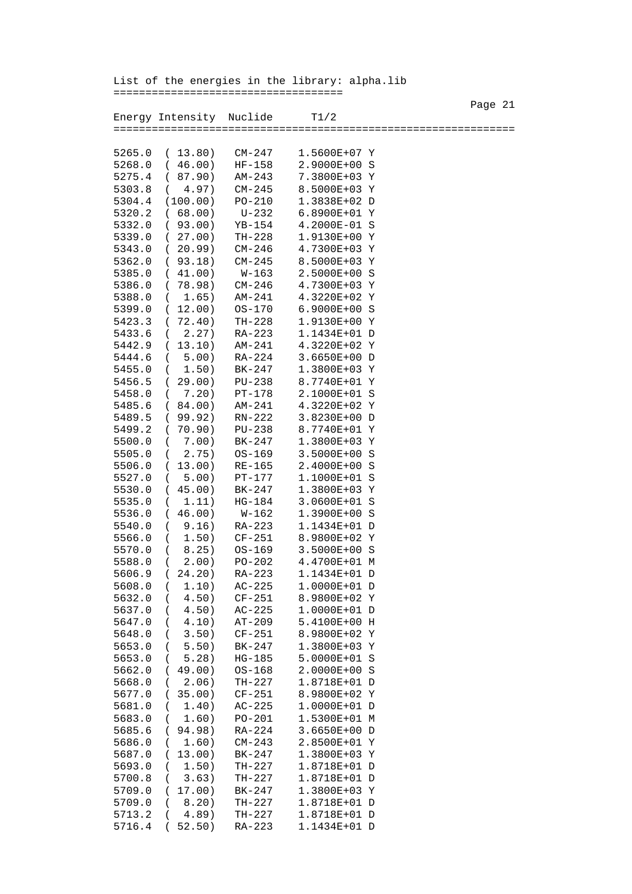Page 21 Energy Intensity Nuclide T1/2 =============================================================== 5265.0 ( 13.80) CM-247 1.5600E+07 Y 5268.0 ( 46.00) HF-158 2.9000E+00 S 5275.4 ( 87.90) AM-243 7.3800E+03 Y 5303.8 ( 4.97) CM-245 8.5000E+03 Y 5304.4 (100.00) PO-210 1.3838E+02 D 5320.2 ( 68.00) U-232 6.8900E+01 Y 5332.0 ( 93.00) YB-154 4.2000E-01 S 5339.0 ( 27.00) TH-228 1.9130E+00 Y 5343.0 ( 20.99) CM-246 4.7300E+03 Y 5362.0 ( 93.18) CM-245 8.5000E+03 Y 5385.0 ( 41.00) W-163 2.5000E+00 S 5386.0 ( 78.98) CM-246 4.7300E+03 Y 5388.0 ( 1.65) AM-241 4.3220E+02 Y 5399.0 ( 12.00) OS-170 6.9000E+00 S 5423.3 ( 72.40) TH-228 1.9130E+00 Y 5433.6 ( 2.27) RA-223 1.1434E+01 D<br>5442.9 ( 13.10) AM-241 4.3220E+02 Y 5442.9 (13.10) AM-241 4.3220E+02 Y<br>5444.6 (5.00) RA-224 3.6650E+00 D 5444.6 ( 5.00) RA-224 5455.0 ( 1.50) BK-247 1.3800E+03 Y 5456.5 ( 29.00) PU-238 8.7740E+01 Y 5458.0 ( 7.20) PT-178 5485.6 ( 84.00) AM-241 4.3220E+02 Y<br>5489.5 ( 99.92) RN-222 3.8230E+00 D 5489.5 ( 99.92) RN-222 3.8230E+00 D 5499.2 ( 70.90) PU-238 8.7740E+01 Y 5500.0 ( 7.00) BK-247 1.3800E+03 Y<br>5505.0 ( 2.75) OS-169 3.5000E+00 S 5505.0 ( 2.75) OS-169 3.5000E+00 S 5506.0 ( 13.00) RE-165 2.4000E+00 S 5527.0 ( 5.00) PT-177 5530.0 ( 45.00) BK-247 1.3800E+03 Y 5535.0 ( 1.11) HG-184 3.0600E+01 S 5536.0 ( 46.00) W-162 1.3900E+00 S 5540.0 ( 9.16) RA-223 1.1434E+01 D 5566.0 ( 1.50) CF-251 8.9800E+02 Y 5570.0 ( 8.25) OS-169 3.5000E+00 S 5588.0 ( 2.00) PO-202 5606.9 ( 24.20) RA-223 1.1434E+01 D 5608.0 ( 1.10) AC-225 1.0000E+01 D 5632.0 ( 4.50) CF-251 8.9800E+02 Y 5637.0 ( 4.50) AC-225 1.0000E+01 D 5647.0 ( 4.10) AT-209 5.4100E+00 H 5648.0 ( 3.50) CF-251 8.9800E+02 Y 5653.0 ( 5.50) BK-247 1.3800E+03 Y 5653.0 ( 5.28) HG-185 5.0000E+01 S<br>5662.0 ( 49.00) OS-168 2.0000E+00 S 5662.0 ( 49.00) OS-168 2.0000E+00 S 5668.0 ( 2.06) TH-227 1.8718E+01 D 5677.0 ( 35.00) CF-251 5681.0 ( 1.40) AC-225 1.0000E+01 D 5683.0 ( 1.60) PO-201 1.5300E+01 M 5685.6 ( 94.98) RA-224 3.6650E+00 D 5686.0 ( 1.60) CM-243 2.8500E+01 Y 5687.0 ( 13.00) BK-247 1.3800E+03 Y 5693.0 ( 1.50) TH-227 1.8718E+01 D 5700.8 ( 3.63) TH-227 1.8718E+01 D 5709.0 ( 17.00) BK-247 1.3800E+03 Y 5709.0 ( 8.20) TH-227 1.8718E+01 D 5713.2 ( 4.89) TH-227 1.8718E+01 D 5716.4 ( 52.50) RA-223 1.1434E+01 D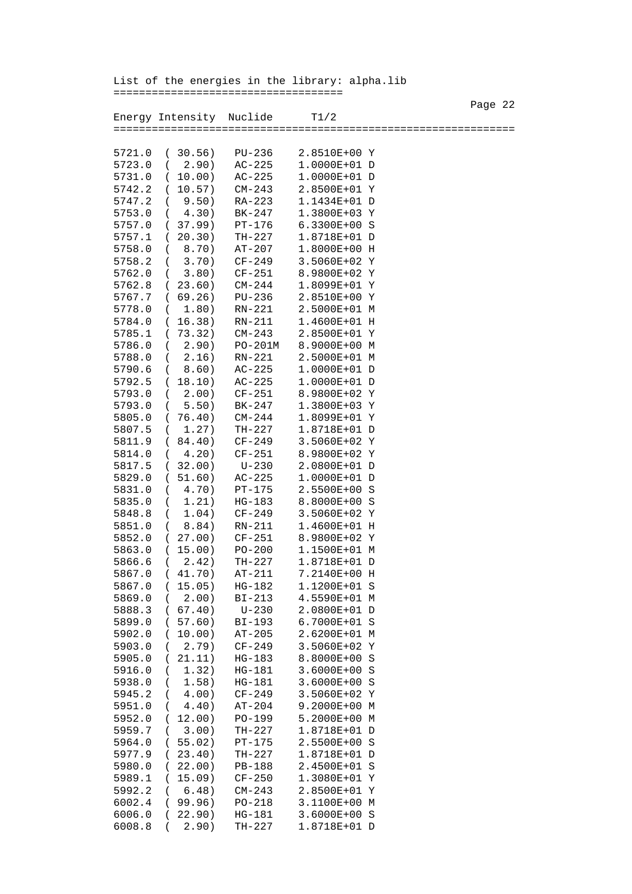List of the energies in the library: alpha.lib

====================================

Page 22 and the state of the state of the state of the state of the state of the state of the state of the state of the state of the state of the state of the state of the state of the state of the state of the state of th Energy Intensity Nuclide T1/2 =============================================================== 5721.0 ( 30.56) PU-236 2.8510E+00 Y 5723.0 ( 2.90) AC-225 1.0000E+01 D 5731.0 ( 10.00) AC-225 1.0000E+01 D 5742.2 ( 10.57) CM-243 2.8500E+01 Y 5747.2 ( 9.50) RA-223 1.1434E+01 D<br>5753.0 ( 4.30) BK-247 1.3800E+03 Y 4.30) BK-247 1.3800E+03 Y<br>37.99) PT-176 6.3300E+00 S 5757.0 ( 37.99) PT-176<br>5757.1 ( 20.30) TH-227 5757.1 ( 20.30) TH-227 1.8718E+01 D 5758.0 ( 8.70) AT-207 1.8000E+00 H 5758.2 ( 3.70) CF-249 3.5060E+02 Y 5762.0 ( 3.80) CF-251 8.9800E+02 Y 5762.8 ( 23.60) CM-244 1.8099E+01 Y 5767.7 ( 69.26) PU-236 2.8510E+00 Y 5778.0 ( 1.80) RN-221 2.5000E+01 M<br>5784.0 ( 16.38) RN-211 1.4600E+01 H 5784.0 ( 16.38) RN-211 5785.1 ( 73.32) CM-243 2.8500E+01 Y 5786.0 ( 2.90) PO-201M 8.9000E+00 M 5788.0 ( 2.16) RN-221 2.5000E+01 M 5790.6 ( 8.60) AC-225 1.0000E+01 D 5792.5 ( 18.10) AC-225 5793.0 (2.00) CF-251 8.9800E+02 Y<br>5793.0 (5.50) BK-247 1.3800E+03 Y 5793.0 ( 5.50) BK-247 1.3800E+03 Y<br>5805.0 ( 76.40) CM-244 1.8099E+01 Y 5805.0 ( 76.40) CM-244 1.8099E+01 Y 5807.5 ( 1.27) TH-227 1.8718E+01 D 5811.9 ( 84.40) CF-249 5814.0 ( 4.20) CF-251 8.9800E+02 Y 5817.5 ( 32.00) U-230 2.0800E+01 D 5829.0 ( 51.60) AC-225 5831.0 ( 4.70) PT-175 2.5500E+00 S 5835.0 ( 1.21) HG-183 8.8000E+00 S 5848.8 ( 1.04) CF-249 3.5060E+02 Y 5851.0 ( 8.84) RN-211 1.4600E+01 H 5852.0 ( 27.00) CF-251 8.9800E+02 Y 5863.0 ( 15.00) PO-200 1.1500E+01 M 5866.6 ( 2.42) TH-227 5867.0 ( 41.70) AT-211 7.2140E+00 H 5867.0 ( 15.05) HG-182 1.1200E+01 S 5869.0 ( 2.00) BI-213 4.5590E+01 M 5888.3 ( 67.40) U-230 2.0800E+01 D 5899.0 ( 57.60) BI-193 6.7000E+01 S 5902.0 ( 10.00) AT-205 2.6200E+01 M 5903.0 ( 2.79) CF-249 3.5060E+02 Y 5905.0 ( 21.11) HG-183 8.8000E+00 S<br>5916.0 ( 1.32) HG-181 3.6000E+00 S 5916.0 ( 1.32) HG-181 3.6000E+00 S<br>5938.0 ( 1.58) HG-181 3.6000E+00 S 5938.0 ( 1.58) HG-181 5945.2 ( 4.00) CF-249 3.5060E+02 Y 5951.0 ( 4.40) AT-204 9.2000E+00 M 5952.0 ( 12.00) PO-199 5.2000E+00 M 5959.7 ( 3.00) TH-227 1.8718E+01 D 5964.0 ( 55.02) PT-175 2.5500E+00 S 5977.9 ( 23.40) TH-227 1.8718E+01 D 5980.0 ( 22.00) PB-188 2.4500E+01 S 5989.1 ( 15.09) CF-250 1.3080E+01 Y 5992.2 ( 6.48) CM-243 2.8500E+01 Y 6002.4 ( 99.96) PO-218 3.1100E+00 M 6006.0 ( 22.90) HG-181 3.6000E+00 S 6008.8 ( 2.90) TH-227 1.8718E+01 D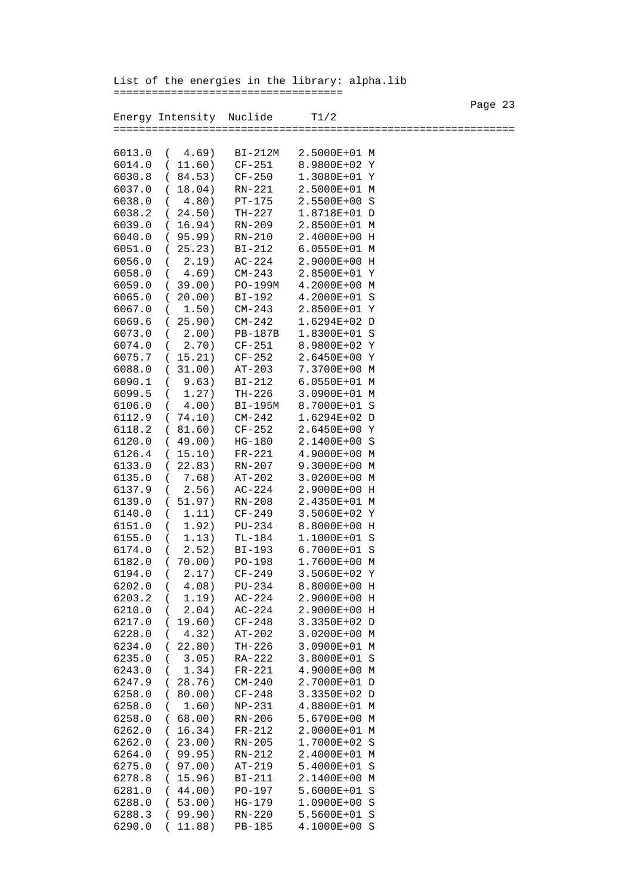Page 23 Energy Intensity Nuclide T1/2 =============================================================== 6013.0 ( 4.69) BI-212M 2.5000E+01 M 6014.0 ( 11.60) CF-251 8.9800E+02 Y 6030.8 ( 84.53) CF-250 1.3080E+01 Y 6037.0 ( 18.04) RN-221 2.5000E+01 M 6038.0 ( 4.80) PT-175 2.5500E+00 S 6038.2 ( 24.50) TH-227 1.8718E+01 D 6039.0 ( 16.94) RN-209 2.8500E+01 M 6040.0 ( 95.99) RN-210 2.4000E+00 H 6051.0 ( 25.23) BI-212 6.0550E+01 M 6056.0 ( 2.19) AC-224 2.9000E+00 H 6058.0 ( 4.69) CM-243 2.8500E+01 Y 6059.0 ( 39.00) PO-199M 4.2000E+00 M 6065.0 ( 20.00) BI-192 4.2000E+01 S 6067.0 ( 1.50) CM-243 2.8500E+01 Y 6069.6 ( 25.90) CM-242 1.6294E+02 D 6073.0 ( 2.00) PB-187B 1.8300E+01 S 6074.0 ( 2.70) CF-251 8.9800E+02 Y 6075.7 ( 15.21) CF-252 2.6450E+00 Y 6088.0 ( 31.00) AT-203 7.3700E+00 M 6090.1 ( 9.63) BI-212 6.0550E+01 M 6099.5 ( 1.27) TH-226 3.0900E+01 M 6106.0 ( 4.00) BI-195M 8.7000E+01 S 6112.9 ( 74.10) CM-242 1.6294E+02 D 6118.2 ( 81.60) CF-252 2.6450E+00 Y 6120.0 ( 49.00) HG-180 6126.4 ( 15.10) FR-221 4.9000E+00 M 6133.0 ( 22.83) RN-207 9.3000E+00 M 6135.0 ( 7.68) AT-202 3.0200E+00 M 6137.9 ( 2.56) AC-224 2.9000E+00 H 6139.0 ( 51.97) RN-208 2.4350E+01 M 6140.0 ( 1.11) CF-249 3.5060E+02 Y 6151.0 ( 1.92) PU-234 8.8000E+00 H 6155.0 ( 1.13) TL-184 1.1000E+01 S 6174.0 ( 2.52) BI-193 6.7000E+01 S 6182.0 ( 70.00) PO-198 1.7600E+00 M 6194.0 ( 2.17) CF-249 3.5060E+02 Y 6202.0 ( 4.08) PU-234 8.8000E+00 H 6203.2 ( 1.19) AC-224 2.9000E+00 H 6210.0 ( 2.04) AC-224 2.9000E+00 H 6217.0 ( 19.60) CF-248 3.3350E+02 D 6228.0 ( 4.32) AT-202 3.0200E+00 M 6234.0 ( 22.80) TH-226 3.0900E+01 M 6235.0 ( 3.05) RA-222 6243.0 ( 1.34) FR-221 4.9000E+00 M 6247.9 ( 28.76) CM-240 6258.0 ( 80.00) CF-248 3.3350E+02 D 6258.0 ( 1.60) NP-231 4.8800E+01 M 6258.0 ( 68.00) RN-206 5.6700E+00 M 6262.0 ( 16.34) FR-212 2.0000E+01 M 6262.0 ( 23.00) RN-205 1.7000E+02 S 6264.0 ( 99.95) RN-212 2.4000E+01 M 6275.0 ( 97.00) AT-219 5.4000E+01 S 6278.8 ( 15.96) BI-211 2.1400E+00 M 6281.0 ( 44.00) PO-197 5.6000E+01 S 6288.0 ( 53.00) HG-179 1.0900E+00 S 6288.3 ( 99.90) RN-220 5.5600E+01 S 6290.0 ( 11.88) PB-185 4.1000E+00 S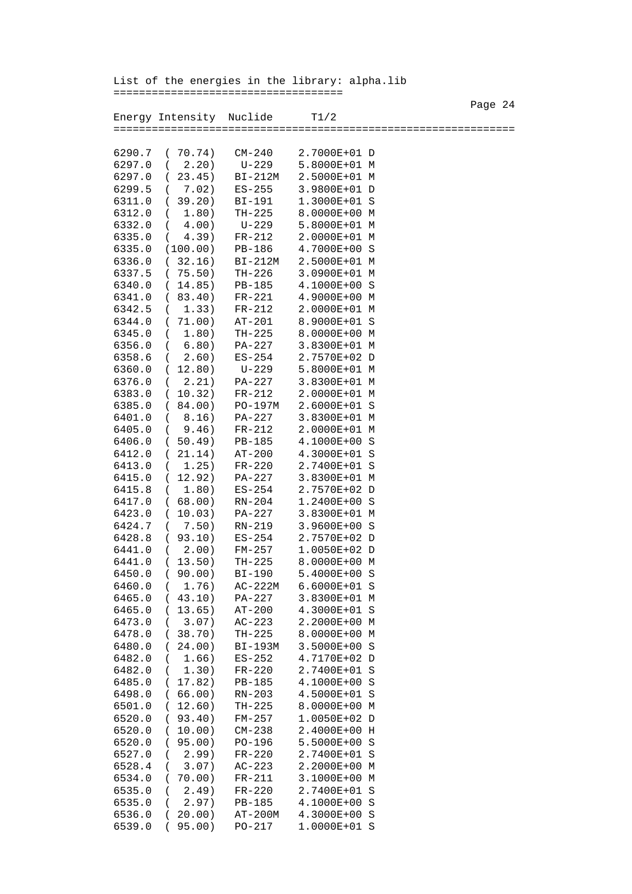Page 24 Energy Intensity Nuclide T1/2 =============================================================== 6290.7 ( 70.74) CM-240 2.7000E+01 D 6297.0 ( 2.20) U-229 5.8000E+01 M 6297.0 ( 23.45) BI-212M 2.5000E+01 M 6299.5 ( 7.02) ES-255 3.9800E+01 D 6311.0 ( 39.20) BI-191 1.3000E+01 S<br>6312.0 ( 1.80) TH-225 8.0000E+00 M 1.80) TH-225 8.0000E+00 M<br>4.00) U-229 5.8000E+01 M 6332.0 ( 4.00) U-229<br>6335.0 ( 4.39) FR-212 2.0000E+01 M 6335.0 (100.00) PB-186 4.7000E+00 S 6336.0 ( 32.16) BI-212M 2.5000E+01 M 6337.5 ( 75.50) TH-226 3.0900E+01 M 6340.0 ( 14.85) PB-185 4.1000E+00 S 6341.0 ( 83.40) FR-221 4.9000E+00 M 6342.5 ( 1.33) FR-212 2.0000E+01 M 6344.0 ( 71.00) AT-201 8.9000E+01 S 6345.0 ( 1.80) TH-225 8.0000E+00 M  $6356.0$  (  $6.80$ )  $PA-227$ <br> $6358.6$  (  $2.60$ ) ES-254 6358.6 ( 2.60) ES-254 2.7570E+02 D 6360.0 ( 12.80) U-229 5.8000E+01 M 6376.0 ( 2.21) PA-227 6383.0 ( 10.32) FR-212 2.0000E+01 M 6385.0 ( 84.00) PO-197M 2.6000E+01 S 6401.0 ( 8.16) PA-227 3.8300E+01 M 6405.0 ( 9.46) FR-212 6406.0 ( 50.49) PB-185 4.1000E+00 S 6412.0 ( 21.14) AT-200 4.3000E+01 S 6413.0 ( 1.25) FR-220 2.7400E+01 S<br>6415.0 ( 12.92) PA-227 3.8300E+01 M 6415.0 ( 12.92) PA-227 6415.8 ( 1.80) ES-254 2.7570E+02 D 6417.0 ( 68.00) RN-204 1.2400E+00 S 6423.0 ( 10.03) PA-227 3.8300E+01 M 6424.7 ( 7.50) RN-219 3.9600E+00 S 6428.8 ( 93.10) ES-254 6441.0 ( 2.00) FM-257 1.0050E+02 D 6441.0 ( 13.50) TH-225 8.0000E+00 M 6450.0 ( 90.00) BI-190 5.4000E+00 S 6460.0 ( 1.76) AC-222M 6.6000E+01 S 6465.0 ( 43.10) PA-227 3.8300E+01 M 6465.0 ( 13.65) AT-200 4.3000E+01 S 6473.0 ( 3.07) AC-223 2.2000E+00 M 6478.0 ( 38.70) TH-225 8.0000E+00 M 6480.0 ( 24.00) BI-193M 3.5000E+00 S 6482.0 ( 1.66) ES-252 4.7170E+02 D 6482.0 ( 1.30) FR-220 6485.0 ( 17.82) PB-185 4.1000E+00 S 6498.0 ( 66.00) RN-203 4.5000E+01 S 6501.0 ( 12.60) TH-225 8.0000E+00 M 6520.0 ( 93.40) FM-257 1.0050E+02 D 6520.0 ( 10.00) CM-238 2.4000E+00 H 6520.0 ( 95.00) PO-196 5.5000E+00 S 6527.0 ( 2.99) FR-220 2.7400E+01 S 6528.4 ( 3.07) AC-223 2.2000E+00 M 6534.0 ( 70.00) FR-211 3.1000E+00 M 6535.0 ( 2.49) FR-220 2.7400E+01 S 6535.0 ( 2.97) PB-185 4.1000E+00 S 6536.0 ( 20.00) AT-200M 4.3000E+00 S 6539.0 ( 95.00) PO-217 1.0000E+01 S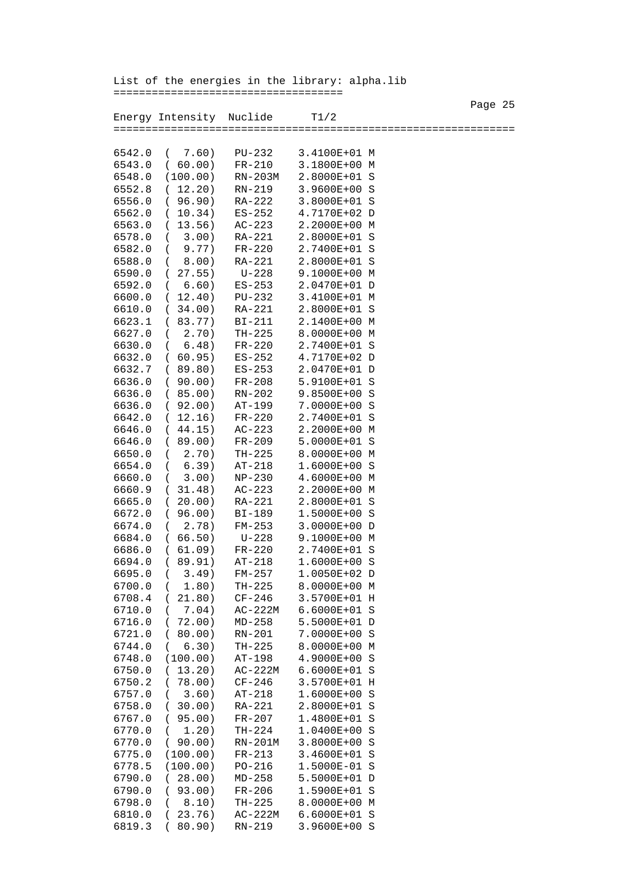Page 25 Energy Intensity Nuclide T1/2 =============================================================== 6542.0 ( 7.60) PU-232 3.4100E+01 M 6543.0 ( 60.00) FR-210 3.1800E+00 M 6548.0 (100.00) RN-203M 2.8000E+01 S 6552.8 ( 12.20) RN-219 3.9600E+00 S 6556.0 ( 96.90) RA-222 3.8000E+01 S 6562.0 ( 10.34) ES-252 4.7170E+02 D 6563.0 ( 13.56) AC-223 2.2000E+00 M 3.00) RA-221 2.8000E+01 S 6582.0 ( 9.77) FR-220 2.7400E+01 S 6588.0 ( 8.00) RA-221 2.8000E+01 S 6590.0 ( 27.55) U-228 9.1000E+00 M 6592.0 ( 6.60) ES-253 2.0470E+01 D 6600.0 ( 12.40) PU-232 3.4100E+01 M 6610.0 ( 34.00) RA-221 2.8000E+01 S 6623.1 ( 83.77) BI-211 2.1400E+00 M 6627.0 ( 2.70) TH-225 8.0000E+00 M 6630.0 ( 6.48) FR-220 2.7400E+01 S 6632.0 ( 60.95) ES-252 4.7170E+02 D 6632.7 ( 89.80) ES-253 2.0470E+01 D 6636.0 ( 90.00) FR-208 5.9100E+01 S 6636.0 ( 85.00) RN-202 9.8500E+00 S 6636.0 ( 92.00) AT-199 7.0000E+00 S 6642.0 ( 12.16) FR-220 2.7400E+01 S 6646.0 ( 44.15) AC-223 2.2000E+00 M 6646.0 ( 89.00) FR-209 6650.0 ( 2.70) TH-225 8.0000E+00 M 6654.0 ( 6.39) AT-218 1.6000E+00 S 6660.0 ( 3.00) NP-230 4.6000E+00 M 6660.9 ( 31.48) AC-223 2.2000E+00 M 6665.0 ( 20.00) RA-221 2.8000E+01 S 6672.0 ( 96.00) BI-189 1.5000E+00 S 6674.0 ( 2.78) FM-253 3.0000E+00 D 6684.0 ( 66.50) U-228 9.1000E+00 M 6686.0 ( 61.09) FR-220 2.7400E+01 S 6694.0 ( 89.91) AT-218 1.6000E+00 S 6695.0 ( 3.49) FM-257 1.0050E+02 D 6700.0 ( 1.80) TH-225 8.0000E+00 M 6708.4 ( 21.80) CF-246 3.5700E+01 H 6710.0 ( 7.04) AC-222M 6.6000E+01 S 6716.0 ( 72.00) MD-258 5.5000E+01 D 6721.0 ( 80.00) RN-201 7.0000E+00 S 6744.0 ( 6.30) TH-225 8.0000E+00 M 6748.0 (100.00) AT-198 6750.0 ( 13.20) AC-222M 6.6000E+01 S 6750.2 ( 78.00) CF-246 3.5700E+01 H 6757.0 ( 3.60) AT-218 1.6000E+00 S 6758.0 ( 30.00) RA-221 2.8000E+01 S 6767.0 ( 95.00) FR-207 1.4800E+01 S 6770.0 ( 1.20) TH-224 1.0400E+00 S 6770.0 ( 90.00) RN-201M 3.8000E+00 S 6775.0 (100.00) FR-213 3.4600E+01 S 6778.5 (100.00) PO-216 1.5000E-01 S 6790.0 ( 28.00) MD-258 5.5000E+01 D 6790.0 ( 93.00) FR-206 1.5900E+01 S 6798.0 ( 8.10) TH-225 8.0000E+00 M 6810.0 ( 23.76) AC-222M 6.6000E+01 S 6819.3 ( 80.90) RN-219 3.9600E+00 S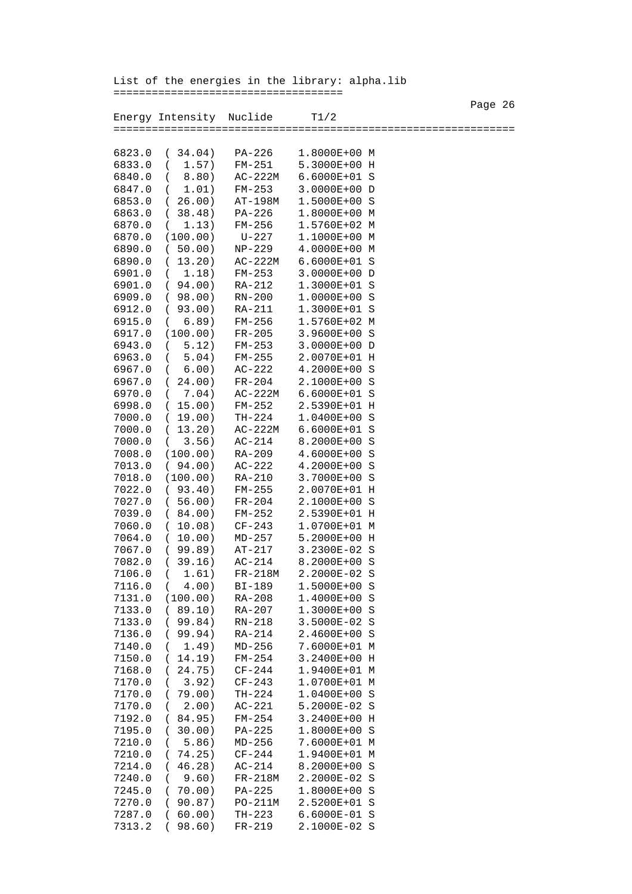Page 26 and the state of the state of the state of the state of the state of the state of the state of the state of the state of the state of the state of the state of the state of the state of the state of the state of th Energy Intensity Nuclide T1/2 =============================================================== 6823.0 ( 34.04) PA-226 1.8000E+00 M 6833.0 ( 1.57) FM-251 5.3000E+00 H 6840.0 ( 8.80) AC-222M 6.6000E+01 S 6847.0 ( 1.01) FM-253 3.0000E+00 D 6853.0 ( 26.00) AT-198M 1.5000E+00 S 6863.0 ( 38.48) PA-226 1.8000E+00 M 6870.0 ( 1.13) FM-256 1.5760E+02 M 6870.0 (100.00) U-227 1.1000E+00 M 6890.0 ( 50.00) NP-229 4.0000E+00 M 6890.0 ( 13.20) AC-222M 6.6000E+01 S 6901.0 ( 1.18) FM-253 3.0000E+00 D 6901.0 ( 94.00) RA-212 1.3000E+01 S 6909.0 ( 98.00) RN-200 1.0000E+00 S 6912.0 ( 93.00) RA-211 1.3000E+01 S 6915.0 ( 6.89) FM-256 1.5760E+02 M 6917.0 (100.00) FR-205 3.9600E+00 S 6943.0 ( 5.12) FM-253 3.0000E+00 D  $(5.04)$  FM-255 2.0070E+01 H 6967.0 ( 6.00) AC-222 4.2000E+00 S 6967.0 ( 24.00) FR-204 2.1000E+00 S 6970.0 ( 7.04) AC-222M 6.6000E+01 S 6998.0 ( 15.00) FM-252 2.5390E+01 H 7000.0 ( 19.00) TH-224 7000.0 ( 13.20) AC-222M 6.6000E+01 S 7000.0 ( 3.56) AC-214 8.2000E+00 S 7008.0 (100.00) RA-209 4.6000E+00 S 7013.0 ( 94.00) AC-222 4.2000E+00 S 7018.0 (100.00) RA-210 7022.0 ( 93.40) FM-255 2.0070E+01 H 7027.0 ( 56.00) FR-204 2.1000E+00 S 7039.0 ( 84.00) FM-252 2.5390E+01 H 7060.0 ( 10.08) CF-243 1.0700E+01 M 7064.0 ( 10.00) MD-257 5.2000E+00 H 7067.0 ( 99.89) AT-217 3.2300E-02 S 7082.0 ( 39.16) AC-214 7106.0 ( 1.61) FR-218M 2.2000E-02 S 7116.0 ( 4.00) BI-189 1.5000E+00 S 7131.0 (100.00) RA-208 1.4000E+00 S 7133.0 ( 89.10) RA-207 1.3000E+00 S 7133.0 ( 99.84) RN-218 3.5000E-02 S 7136.0 ( 99.94) RA-214 2.4600E+00 S 7140.0 ( 1.49) MD-256 7.6000E+01 M 7150.0 ( 14.19) FM-254 3.2400E+00 H<br>7168.0 ( 24.75) CF-244 1.9400E+01 M 7168.0 ( 24.75) CF-244 1.9400E+01 M 7170.0 ( 3.92) CF-243 7170.0 ( 79.00) TH-224 1.0400E+00 S 7170.0 ( 2.00) AC-221 5.2000E-02 S 7192.0 ( 84.95) FM-254 3.2400E+00 H 7195.0 ( 30.00) PA-225 1.8000E+00 S 7210.0 ( 5.86) MD-256 7.6000E+01 M 7210.0 ( 74.25) CF-244 1.9400E+01 M 7214.0 ( 46.28) AC-214 8.2000E+00 S 7240.0 ( 9.60) FR-218M 2.2000E-02 S 7245.0 ( 70.00) PA-225 1.8000E+00 S 7270.0 ( 90.87) PO-211M 2.5200E+01 S 7287.0 ( 60.00) TH-223 6.6000E-01 S 7313.2 ( 98.60) FR-219 2.1000E-02 S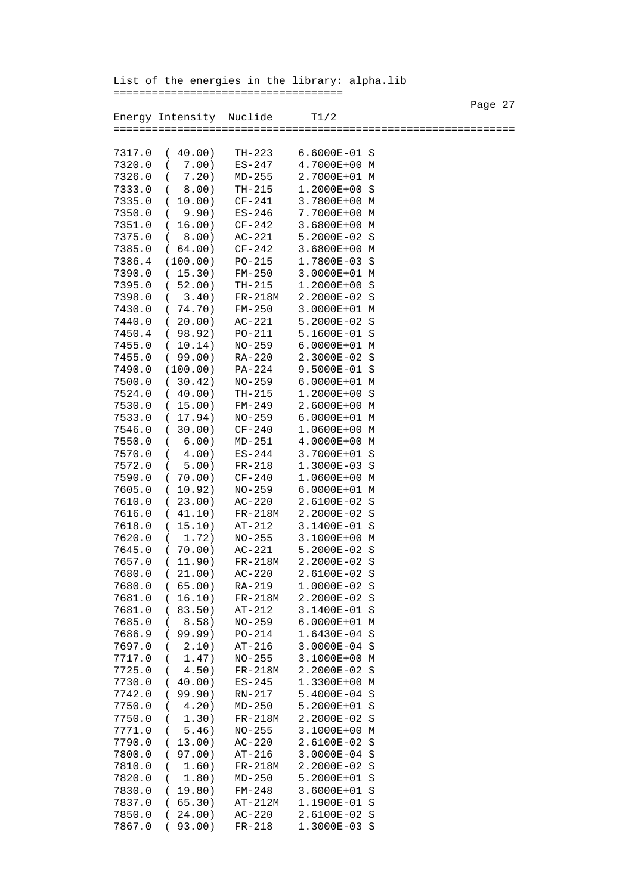Page 27 Energy Intensity Nuclide T1/2 =============================================================== 7317.0 ( 40.00) TH-223 6.6000E-01 S 7320.0 ( 7.00) ES-247 4.7000E+00 M 7326.0 ( 7.20) MD-255 2.7000E+01 M 7333.0 ( 8.00) TH-215 1.2000E+00 S 7335.0 ( 10.00) CF-241 3.7800E+00 M 7350.0 ( 9.90) ES-246 7.7000E+00 M 7351.0 ( 16.00) CF-242 3.6800E+00 M 7375.0 ( 8.00) AC-221 5.2000E-02 S 7385.0 ( 64.00) CF-242 3.6800E+00 M 7386.4 (100.00) PO-215 1.7800E-03 S 7390.0 ( 15.30) FM-250 3.0000E+01 M 7395.0 ( 52.00) TH-215 1.2000E+00 S 7398.0 ( 3.40) FR-218M 2.2000E-02 S<br>7430.0 ( 74.70) FM-250 3.0000E+01 M 7430.0 ( 74.70) FM-250 3.0000E+01 M 7440.0 ( 20.00) AC-221 5.2000E-02 S 7450.4 ( 98.92) PO-211 5.1600E-01 S 7455.0 ( 10.14) NO-259 6.0000E+01 M 7455.0 ( 99.00) RA-220 2.3000E-02 S 7490.0 (100.00) PA-224 9.5000E-01 S 7500.0 ( 30.42) NO-259 6.0000E+01 M 7524.0 ( 40.00) TH-215 1.2000E+00 S 7530.0 ( 15.00) FM-249 7533.0 ( 17.94) NO-259 6.0000E+01 M 7546.0 ( 30.00) CF-240 1.0600E+00 M 7550.0 ( 6.00) MD-251 4.0000E+00 M 7570.0 ( 4.00) ES-244 3.7000E+01 S 7572.0 ( 5.00) FR-218 7590.0 ( 70.00) CF-240 1.0600E+00 M 7605.0 ( 10.92) NO-259 6.0000E+01 M 7610.0 ( 23.00) AC-220 2.6100E-02 S 7616.0 ( 41.10) FR-218M 2.2000E-02 S 7618.0 ( 15.10) AT-212 3.1400E-01 S 7620.0 ( 1.72) NO-255 3.1000E+00 M 7645.0 ( 70.00) AC-221 5.2000E-02 S 7657.0 ( 11.90) FR-218M 2.2000E-02 S 7680.0 ( 21.00) AC-220 2.6100E-02 S 7680.0 ( 65.00) RA-219 1.0000E-02 S 7681.0 ( 16.10) FR-218M 2.2000E-02 S 7681.0 ( 83.50) AT-212 3.1400E-01 S 7685.0 ( 8.58) NO-259 6.0000E+01 M 7686.9 ( 99.99) PO-214 1.6430E-04 S 7697.0 ( 2.10) AT-216 3.0000E-04 S 7717.0 ( 1.47) NO-255 7725.0 ( 4.50) FR-218M 2.2000E-02 S 7730.0 ( 40.00) ES-245 1.3300E+00 M 7742.0 ( 99.90) RN-217 5.4000E-04 S 7750.0 ( 4.20) MD-250 5.2000E+01 S 7750.0 ( 1.30) FR-218M 2.2000E-02 S 7771.0 ( 5.46) NO-255 3.1000E+00 M 7790.0 ( 13.00) AC-220 2.6100E-02 S 7800.0 ( 97.00) AT-216 3.0000E-04 S 7810.0 ( 1.60) FR-218M 2.2000E-02 S 7820.0 ( 1.80) MD-250 5.2000E+01 S 7830.0 ( 19.80) FM-248 3.6000E+01 S 7837.0 ( 65.30) AT-212M 1.1900E-01 S 7850.0 ( 24.00) AC-220 2.6100E-02 S 7867.0 ( 93.00) FR-218 1.3000E-03 S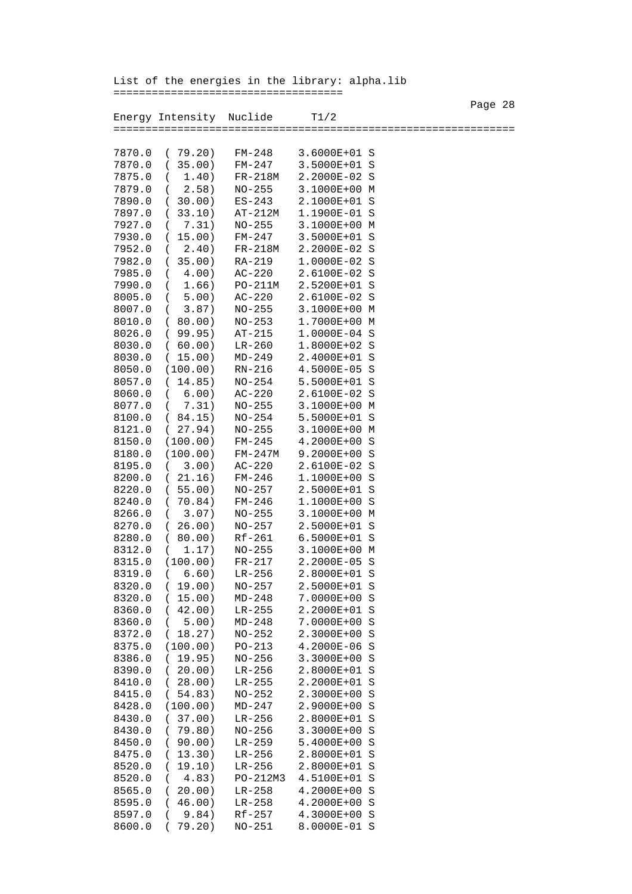Page 28 and the state of the state of the state of the state of the state of the state of the state of the state of the state of the state of the state of the state of the state of the state of the state of the state of th Energy Intensity Nuclide T1/2 =============================================================== 7870.0 ( 79.20) FM-248 3.6000E+01 S 7870.0 ( 35.00) FM-247 3.5000E+01 S 7875.0 ( 1.40) FR-218M 2.2000E-02 S 2.58) NO-255 3.1000E+00 M 7890.0 ( 30.00) ES-243 2.1000E+01 S 7897.0 ( 33.10) AT-212M 1.1900E-01 S 7.31) NO-255 3.1000E+00 M 7930.0 ( 15.00) FM-247 3.5000E+01 S 2.40) FR-218M 2.2000E-02 S 7982.0 ( 35.00) RA-219 1.0000E-02 S 7985.0 ( 4.00) AC-220 2.6100E-02 S 7990.0 ( 1.66) PO-211M 2.5200E+01 S 8005.0 ( 5.00) AC-220 2.6100E-02 S 8007.0 ( 3.87) NO-255 3.1000E+00 M 8010.0 ( 80.00) NO-253 1.7000E+00 M 8026.0 (99.95) AT-215<br>8030.0 (60.00) LR-260 8030.0 ( 60.00) LR-260 1.8000E+02 S 8030.0 ( 15.00) MD-249 2.4000E+01 S 8050.0 (100.00) RN-216 4.5000E-05 S 8057.0 ( 14.85) NO-254 5.5000E+01 S 8060.0 ( 6.00) AC-220 2.6100E-02 S 8077.0 ( 7.31) NO-255 3.1000E+00 M 8100.0 ( 84.15) NO-254 5.5000E+01 S 8121.0 ( 27.94) NO-255 3.1000E+00 M<br>8150.0 (100.00) FM-245 4.2000E+00 S 8150.0 (100.00) FM-245 8180.0 (100.00) FM-247M 9.2000E+00 S 8195.0 (3.00) AC-220 2.6100E-02 S<br>8200.0 (21.16) FM-246 1.1000E+00 S 8200.0 ( 21.16) FM-246 8220.0 ( 55.00) NO-257 2.5000E+01 S 8240.0 ( 70.84) FM-246 1.1000E+00 S 8266.0 ( 3.07) NO-255 3.1000E+00 M 8270.0 ( 26.00) NO-257 2.5000E+01 S 8280.0 (80.00) Rf-261 6.5000E+01 S<br>8312.0 (1.17) NO-255 3.1000E+00 M 8312.0 ( 1.17) NO-255 3.1000E+00 M<br>8315.0 (100.00) FR-217 2.2000E-05 S 8315.0 (100.00) FR-217 8319.0 ( 6.60) LR-256 2.8000E+01 S 8320.0 ( 19.00) NO-257 2.5000E+01 S 8320.0 ( 15.00) MD-248 7.0000E+00 S 8360.0 ( 42.00) LR-255 2.2000E+01 S 8360.0 ( 5.00) MD-248 7.0000E+00 S 8372.0 ( 18.27) NO-252 2.3000E+00 S 8375.0 (100.00) PO-213 4.2000E-06 S<br>8386.0 (19.95) NO-256 3.3000E+00 S 8386.0 ( 19.95) NO-256 3.3000E+00 S 8390.0 ( 20.00) LR-256 2.8000E+01 S 8410.0 ( 28.00) LR-255 8415.0 ( 54.83) NO-252 2.3000E+00 S 8428.0 (100.00) MD-247 2.9000E+00 S 8430.0 ( 37.00) LR-256 2.8000E+01 S 8430.0 ( 79.80) NO-256 3.3000E+00 S 8450.0 ( 90.00) LR-259 5.4000E+00 S 8475.0 ( 13.30) LR-256 2.8000E+01 S 8520.0 ( 19.10) LR-256 2.8000E+01 S 8520.0 ( 4.83) PO-212M3 4.5100E+01 S 8565.0 ( 20.00) LR-258 4.2000E+00 S 8595.0 ( 46.00) LR-258 4.2000E+00 S 8597.0 ( 9.84) Rf-257 4.3000E+00 S 8600.0 ( 79.20) NO-251 8.0000E-01 S